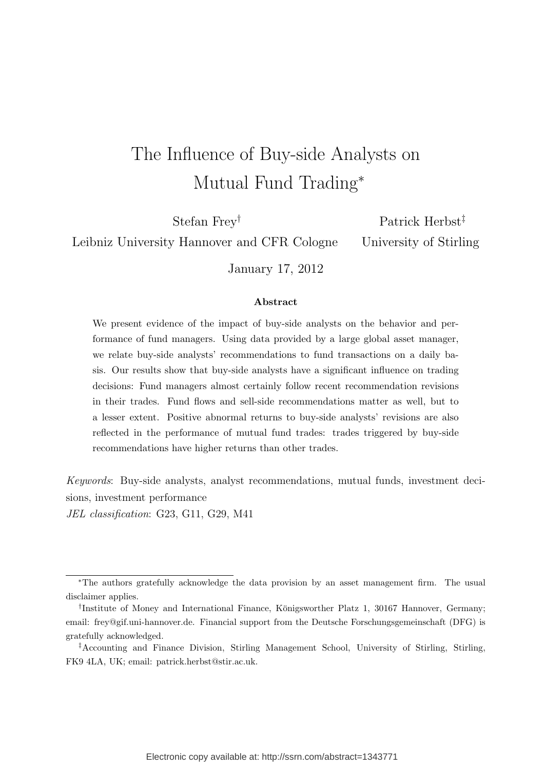# The Influence of Buy-side Analysts on Mutual Fund Trading<sup>∗</sup>

Stefan Frey† Leibniz University Hannover and CFR Cologne

Patrick Herbst<sup>‡</sup> University of Stirling

January 17, 2012

#### Abstract

We present evidence of the impact of buy-side analysts on the behavior and performance of fund managers. Using data provided by a large global asset manager, we relate buy-side analysts' recommendations to fund transactions on a daily basis. Our results show that buy-side analysts have a significant influence on trading decisions: Fund managers almost certainly follow recent recommendation revisions in their trades. Fund flows and sell-side recommendations matter as well, but to a lesser extent. Positive abnormal returns to buy-side analysts' revisions are also reflected in the performance of mutual fund trades: trades triggered by buy-side recommendations have higher returns than other trades.

Keywords: Buy-side analysts, analyst recommendations, mutual funds, investment decisions, investment performance JEL classification: G23, G11, G29, M41

<sup>∗</sup>The authors gratefully acknowledge the data provision by an asset management firm. The usual disclaimer applies.

<sup>&</sup>lt;sup>†</sup>Institute of Money and International Finance, Königsworther Platz 1, 30167 Hannover, Germany; email: frey@gif.uni-hannover.de. Financial support from the Deutsche Forschungsgemeinschaft (DFG) is gratefully acknowledged.

<sup>‡</sup>Accounting and Finance Division, Stirling Management School, University of Stirling, Stirling, FK9 4LA, UK; email: patrick.herbst@stir.ac.uk.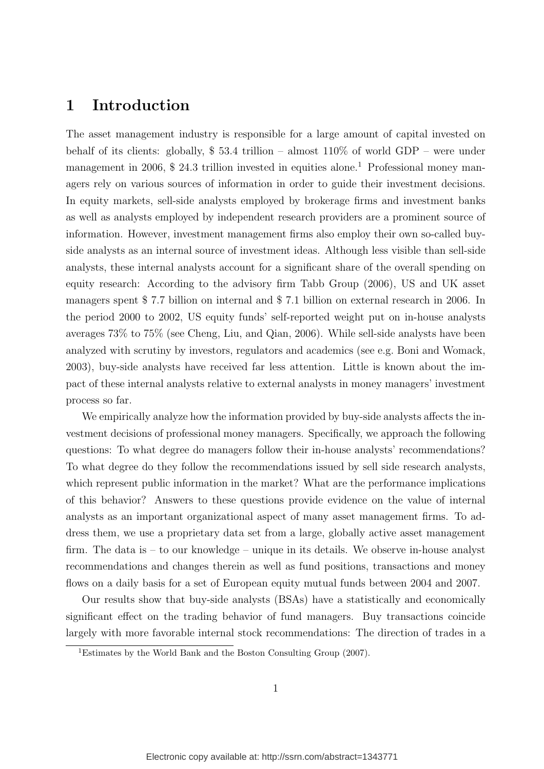# 1 Introduction

The asset management industry is responsible for a large amount of capital invested on behalf of its clients: globally,  $$53.4$  trillion – almost  $110\%$  of world GDP – were under management in 2006,  $$ 24.3$  trillion invested in equities alone.<sup>1</sup> Professional money managers rely on various sources of information in order to guide their investment decisions. In equity markets, sell-side analysts employed by brokerage firms and investment banks as well as analysts employed by independent research providers are a prominent source of information. However, investment management firms also employ their own so-called buyside analysts as an internal source of investment ideas. Although less visible than sell-side analysts, these internal analysts account for a significant share of the overall spending on equity research: According to the advisory firm Tabb Group (2006), US and UK asset managers spent \$ 7.7 billion on internal and \$ 7.1 billion on external research in 2006. In the period 2000 to 2002, US equity funds' self-reported weight put on in-house analysts averages 73% to 75% (see Cheng, Liu, and Qian, 2006). While sell-side analysts have been analyzed with scrutiny by investors, regulators and academics (see e.g. Boni and Womack, 2003), buy-side analysts have received far less attention. Little is known about the impact of these internal analysts relative to external analysts in money managers' investment process so far.

We empirically analyze how the information provided by buy-side analysts affects the investment decisions of professional money managers. Specifically, we approach the following questions: To what degree do managers follow their in-house analysts' recommendations? To what degree do they follow the recommendations issued by sell side research analysts, which represent public information in the market? What are the performance implications of this behavior? Answers to these questions provide evidence on the value of internal analysts as an important organizational aspect of many asset management firms. To address them, we use a proprietary data set from a large, globally active asset management firm. The data is – to our knowledge – unique in its details. We observe in-house analyst recommendations and changes therein as well as fund positions, transactions and money flows on a daily basis for a set of European equity mutual funds between 2004 and 2007.

Our results show that buy-side analysts (BSAs) have a statistically and economically significant effect on the trading behavior of fund managers. Buy transactions coincide largely with more favorable internal stock recommendations: The direction of trades in a

<sup>1</sup>Estimates by the World Bank and the Boston Consulting Group (2007).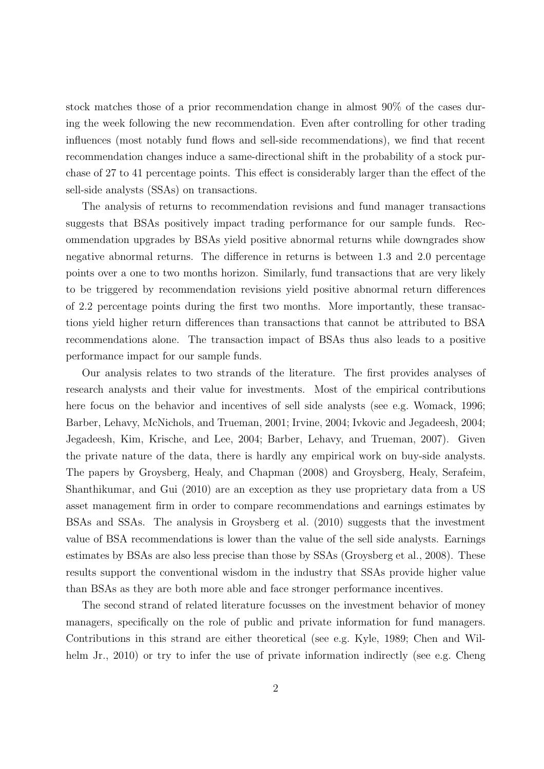stock matches those of a prior recommendation change in almost 90% of the cases during the week following the new recommendation. Even after controlling for other trading influences (most notably fund flows and sell-side recommendations), we find that recent recommendation changes induce a same-directional shift in the probability of a stock purchase of 27 to 41 percentage points. This effect is considerably larger than the effect of the sell-side analysts (SSAs) on transactions.

The analysis of returns to recommendation revisions and fund manager transactions suggests that BSAs positively impact trading performance for our sample funds. Recommendation upgrades by BSAs yield positive abnormal returns while downgrades show negative abnormal returns. The difference in returns is between 1.3 and 2.0 percentage points over a one to two months horizon. Similarly, fund transactions that are very likely to be triggered by recommendation revisions yield positive abnormal return differences of 2.2 percentage points during the first two months. More importantly, these transactions yield higher return differences than transactions that cannot be attributed to BSA recommendations alone. The transaction impact of BSAs thus also leads to a positive performance impact for our sample funds.

Our analysis relates to two strands of the literature. The first provides analyses of research analysts and their value for investments. Most of the empirical contributions here focus on the behavior and incentives of sell side analysts (see e.g. Womack, 1996; Barber, Lehavy, McNichols, and Trueman, 2001; Irvine, 2004; Ivkovic and Jegadeesh, 2004; Jegadeesh, Kim, Krische, and Lee, 2004; Barber, Lehavy, and Trueman, 2007). Given the private nature of the data, there is hardly any empirical work on buy-side analysts. The papers by Groysberg, Healy, and Chapman (2008) and Groysberg, Healy, Serafeim, Shanthikumar, and Gui (2010) are an exception as they use proprietary data from a US asset management firm in order to compare recommendations and earnings estimates by BSAs and SSAs. The analysis in Groysberg et al. (2010) suggests that the investment value of BSA recommendations is lower than the value of the sell side analysts. Earnings estimates by BSAs are also less precise than those by SSAs (Groysberg et al., 2008). These results support the conventional wisdom in the industry that SSAs provide higher value than BSAs as they are both more able and face stronger performance incentives.

The second strand of related literature focusses on the investment behavior of money managers, specifically on the role of public and private information for fund managers. Contributions in this strand are either theoretical (see e.g. Kyle, 1989; Chen and Wilhelm Jr., 2010) or try to infer the use of private information indirectly (see e.g. Cheng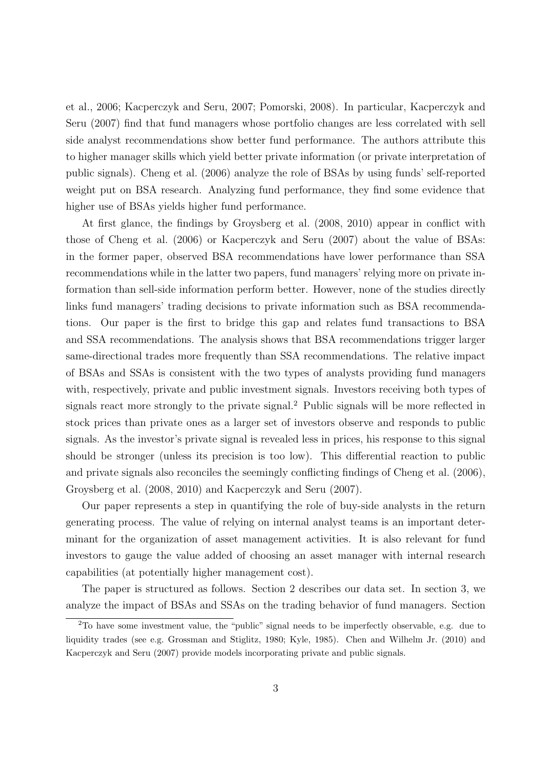et al., 2006; Kacperczyk and Seru, 2007; Pomorski, 2008). In particular, Kacperczyk and Seru (2007) find that fund managers whose portfolio changes are less correlated with sell side analyst recommendations show better fund performance. The authors attribute this to higher manager skills which yield better private information (or private interpretation of public signals). Cheng et al. (2006) analyze the role of BSAs by using funds' self-reported weight put on BSA research. Analyzing fund performance, they find some evidence that higher use of BSAs yields higher fund performance.

At first glance, the findings by Groysberg et al. (2008, 2010) appear in conflict with those of Cheng et al. (2006) or Kacperczyk and Seru (2007) about the value of BSAs: in the former paper, observed BSA recommendations have lower performance than SSA recommendations while in the latter two papers, fund managers' relying more on private information than sell-side information perform better. However, none of the studies directly links fund managers' trading decisions to private information such as BSA recommendations. Our paper is the first to bridge this gap and relates fund transactions to BSA and SSA recommendations. The analysis shows that BSA recommendations trigger larger same-directional trades more frequently than SSA recommendations. The relative impact of BSAs and SSAs is consistent with the two types of analysts providing fund managers with, respectively, private and public investment signals. Investors receiving both types of signals react more strongly to the private signal.<sup>2</sup> Public signals will be more reflected in stock prices than private ones as a larger set of investors observe and responds to public signals. As the investor's private signal is revealed less in prices, his response to this signal should be stronger (unless its precision is too low). This differential reaction to public and private signals also reconciles the seemingly conflicting findings of Cheng et al. (2006), Groysberg et al. (2008, 2010) and Kacperczyk and Seru (2007).

Our paper represents a step in quantifying the role of buy-side analysts in the return generating process. The value of relying on internal analyst teams is an important determinant for the organization of asset management activities. It is also relevant for fund investors to gauge the value added of choosing an asset manager with internal research capabilities (at potentially higher management cost).

The paper is structured as follows. Section 2 describes our data set. In section 3, we analyze the impact of BSAs and SSAs on the trading behavior of fund managers. Section

 $2^2$ To have some investment value, the "public" signal needs to be imperfectly observable, e.g. due to liquidity trades (see e.g. Grossman and Stiglitz, 1980; Kyle, 1985). Chen and Wilhelm Jr. (2010) and Kacperczyk and Seru (2007) provide models incorporating private and public signals.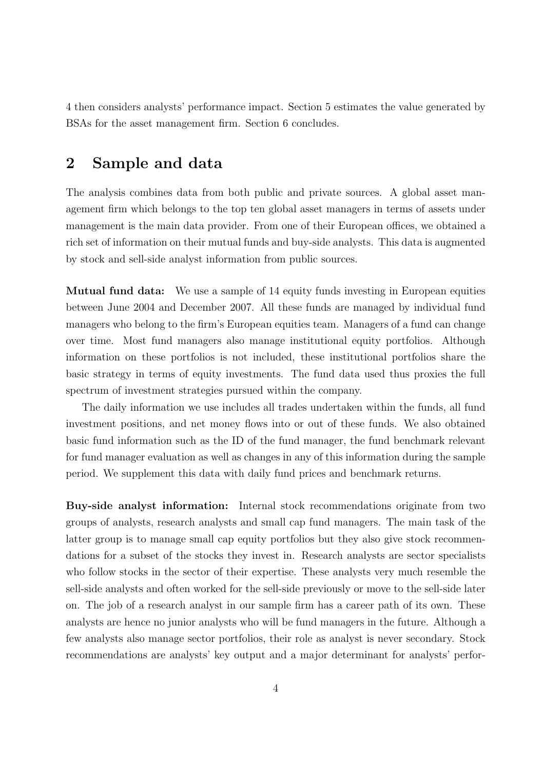4 then considers analysts' performance impact. Section 5 estimates the value generated by BSAs for the asset management firm. Section 6 concludes.

# 2 Sample and data

The analysis combines data from both public and private sources. A global asset management firm which belongs to the top ten global asset managers in terms of assets under management is the main data provider. From one of their European offices, we obtained a rich set of information on their mutual funds and buy-side analysts. This data is augmented by stock and sell-side analyst information from public sources.

Mutual fund data: We use a sample of 14 equity funds investing in European equities between June 2004 and December 2007. All these funds are managed by individual fund managers who belong to the firm's European equities team. Managers of a fund can change over time. Most fund managers also manage institutional equity portfolios. Although information on these portfolios is not included, these institutional portfolios share the basic strategy in terms of equity investments. The fund data used thus proxies the full spectrum of investment strategies pursued within the company.

The daily information we use includes all trades undertaken within the funds, all fund investment positions, and net money flows into or out of these funds. We also obtained basic fund information such as the ID of the fund manager, the fund benchmark relevant for fund manager evaluation as well as changes in any of this information during the sample period. We supplement this data with daily fund prices and benchmark returns.

Buy-side analyst information: Internal stock recommendations originate from two groups of analysts, research analysts and small cap fund managers. The main task of the latter group is to manage small cap equity portfolios but they also give stock recommendations for a subset of the stocks they invest in. Research analysts are sector specialists who follow stocks in the sector of their expertise. These analysts very much resemble the sell-side analysts and often worked for the sell-side previously or move to the sell-side later on. The job of a research analyst in our sample firm has a career path of its own. These analysts are hence no junior analysts who will be fund managers in the future. Although a few analysts also manage sector portfolios, their role as analyst is never secondary. Stock recommendations are analysts' key output and a major determinant for analysts' perfor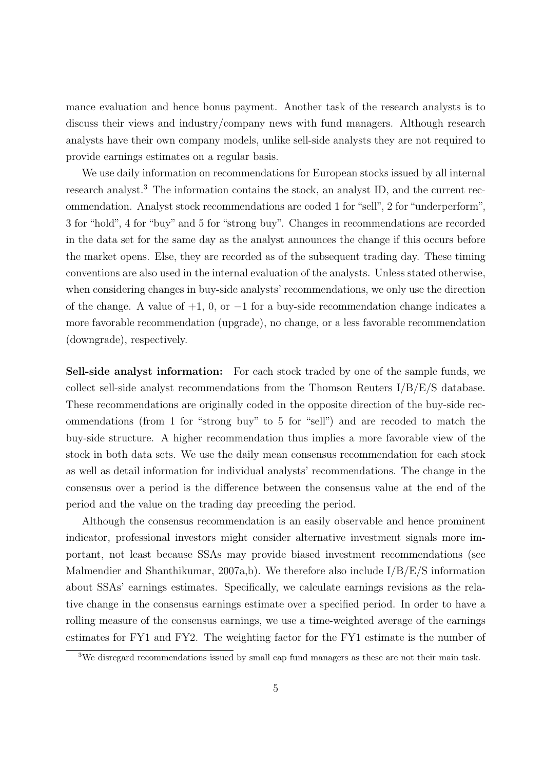mance evaluation and hence bonus payment. Another task of the research analysts is to discuss their views and industry/company news with fund managers. Although research analysts have their own company models, unlike sell-side analysts they are not required to provide earnings estimates on a regular basis.

We use daily information on recommendations for European stocks issued by all internal research analyst.<sup>3</sup> The information contains the stock, an analyst ID, and the current recommendation. Analyst stock recommendations are coded 1 for "sell", 2 for "underperform", 3 for "hold", 4 for "buy" and 5 for "strong buy". Changes in recommendations are recorded in the data set for the same day as the analyst announces the change if this occurs before the market opens. Else, they are recorded as of the subsequent trading day. These timing conventions are also used in the internal evaluation of the analysts. Unless stated otherwise, when considering changes in buy-side analysts' recommendations, we only use the direction of the change. A value of  $+1$ , 0, or  $-1$  for a buy-side recommendation change indicates a more favorable recommendation (upgrade), no change, or a less favorable recommendation (downgrade), respectively.

Sell-side analyst information: For each stock traded by one of the sample funds, we collect sell-side analyst recommendations from the Thomson Reuters I/B/E/S database. These recommendations are originally coded in the opposite direction of the buy-side recommendations (from 1 for "strong buy" to 5 for "sell") and are recoded to match the buy-side structure. A higher recommendation thus implies a more favorable view of the stock in both data sets. We use the daily mean consensus recommendation for each stock as well as detail information for individual analysts' recommendations. The change in the consensus over a period is the difference between the consensus value at the end of the period and the value on the trading day preceding the period.

Although the consensus recommendation is an easily observable and hence prominent indicator, professional investors might consider alternative investment signals more important, not least because SSAs may provide biased investment recommendations (see Malmendier and Shanthikumar, 2007a,b). We therefore also include I/B/E/S information about SSAs' earnings estimates. Specifically, we calculate earnings revisions as the relative change in the consensus earnings estimate over a specified period. In order to have a rolling measure of the consensus earnings, we use a time-weighted average of the earnings estimates for FY1 and FY2. The weighting factor for the FY1 estimate is the number of

<sup>3</sup>We disregard recommendations issued by small cap fund managers as these are not their main task.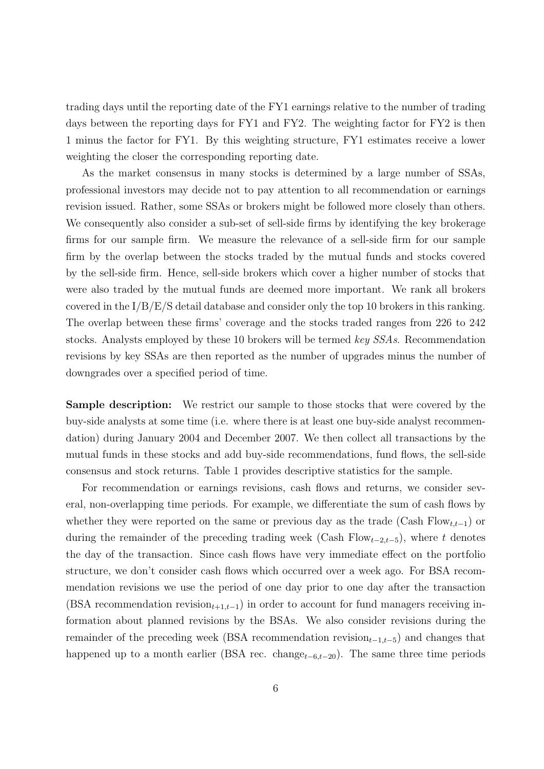trading days until the reporting date of the FY1 earnings relative to the number of trading days between the reporting days for FY1 and FY2. The weighting factor for FY2 is then 1 minus the factor for FY1. By this weighting structure, FY1 estimates receive a lower weighting the closer the corresponding reporting date.

As the market consensus in many stocks is determined by a large number of SSAs, professional investors may decide not to pay attention to all recommendation or earnings revision issued. Rather, some SSAs or brokers might be followed more closely than others. We consequently also consider a sub-set of sell-side firms by identifying the key brokerage firms for our sample firm. We measure the relevance of a sell-side firm for our sample firm by the overlap between the stocks traded by the mutual funds and stocks covered by the sell-side firm. Hence, sell-side brokers which cover a higher number of stocks that were also traded by the mutual funds are deemed more important. We rank all brokers covered in the  $I/B/E/S$  detail database and consider only the top 10 brokers in this ranking. The overlap between these firms' coverage and the stocks traded ranges from 226 to 242 stocks. Analysts employed by these 10 brokers will be termed key SSAs. Recommendation revisions by key SSAs are then reported as the number of upgrades minus the number of downgrades over a specified period of time.

Sample description: We restrict our sample to those stocks that were covered by the buy-side analysts at some time (i.e. where there is at least one buy-side analyst recommendation) during January 2004 and December 2007. We then collect all transactions by the mutual funds in these stocks and add buy-side recommendations, fund flows, the sell-side consensus and stock returns. Table 1 provides descriptive statistics for the sample.

For recommendation or earnings revisions, cash flows and returns, we consider several, non-overlapping time periods. For example, we differentiate the sum of cash flows by whether they were reported on the same or previous day as the trade (Cash Flow<sub>t,t-1</sub>) or during the remainder of the preceding trading week (Cash Flow<sub>t-2,t-5</sub>), where t denotes the day of the transaction. Since cash flows have very immediate effect on the portfolio structure, we don't consider cash flows which occurred over a week ago. For BSA recommendation revisions we use the period of one day prior to one day after the transaction (BSA recommendation revision<sub>t+1,t−1</sub>) in order to account for fund managers receiving information about planned revisions by the BSAs. We also consider revisions during the remainder of the preceding week (BSA recommendation revision<sub> $t-1,t-5$ </sub>) and changes that happened up to a month earlier (BSA rec. change<sub>t-6,t-20</sub>). The same three time periods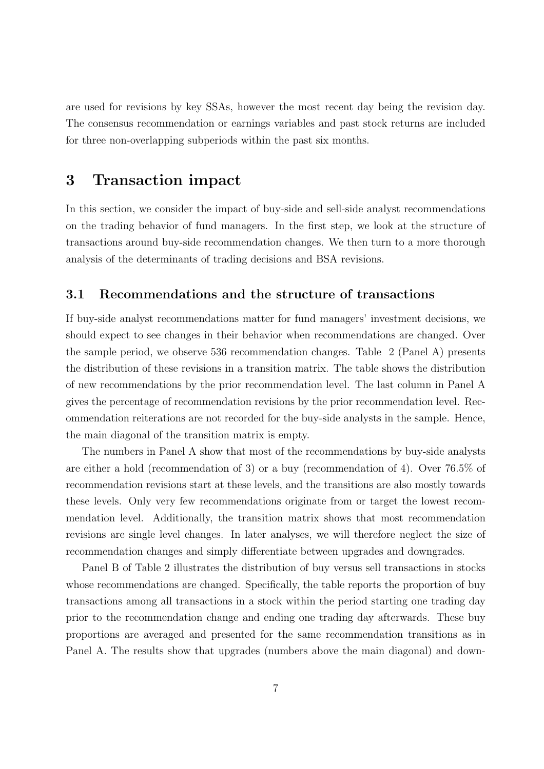are used for revisions by key SSAs, however the most recent day being the revision day. The consensus recommendation or earnings variables and past stock returns are included for three non-overlapping subperiods within the past six months.

# 3 Transaction impact

In this section, we consider the impact of buy-side and sell-side analyst recommendations on the trading behavior of fund managers. In the first step, we look at the structure of transactions around buy-side recommendation changes. We then turn to a more thorough analysis of the determinants of trading decisions and BSA revisions.

# 3.1 Recommendations and the structure of transactions

If buy-side analyst recommendations matter for fund managers' investment decisions, we should expect to see changes in their behavior when recommendations are changed. Over the sample period, we observe 536 recommendation changes. Table 2 (Panel A) presents the distribution of these revisions in a transition matrix. The table shows the distribution of new recommendations by the prior recommendation level. The last column in Panel A gives the percentage of recommendation revisions by the prior recommendation level. Recommendation reiterations are not recorded for the buy-side analysts in the sample. Hence, the main diagonal of the transition matrix is empty.

The numbers in Panel A show that most of the recommendations by buy-side analysts are either a hold (recommendation of 3) or a buy (recommendation of 4). Over 76.5% of recommendation revisions start at these levels, and the transitions are also mostly towards these levels. Only very few recommendations originate from or target the lowest recommendation level. Additionally, the transition matrix shows that most recommendation revisions are single level changes. In later analyses, we will therefore neglect the size of recommendation changes and simply differentiate between upgrades and downgrades.

Panel B of Table 2 illustrates the distribution of buy versus sell transactions in stocks whose recommendations are changed. Specifically, the table reports the proportion of buy transactions among all transactions in a stock within the period starting one trading day prior to the recommendation change and ending one trading day afterwards. These buy proportions are averaged and presented for the same recommendation transitions as in Panel A. The results show that upgrades (numbers above the main diagonal) and down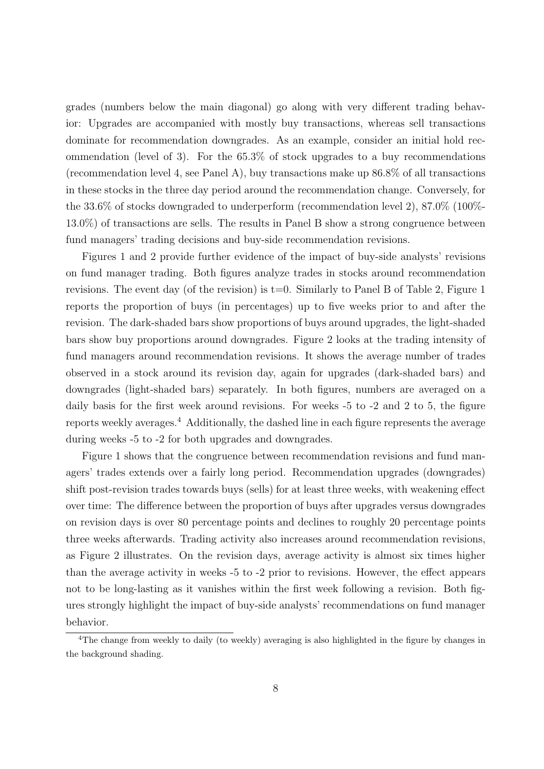grades (numbers below the main diagonal) go along with very different trading behavior: Upgrades are accompanied with mostly buy transactions, whereas sell transactions dominate for recommendation downgrades. As an example, consider an initial hold recommendation (level of 3). For the 65.3% of stock upgrades to a buy recommendations (recommendation level 4, see Panel A), buy transactions make up 86.8% of all transactions in these stocks in the three day period around the recommendation change. Conversely, for the 33.6% of stocks downgraded to underperform (recommendation level 2), 87.0% (100%- 13.0%) of transactions are sells. The results in Panel B show a strong congruence between fund managers' trading decisions and buy-side recommendation revisions.

Figures 1 and 2 provide further evidence of the impact of buy-side analysts' revisions on fund manager trading. Both figures analyze trades in stocks around recommendation revisions. The event day (of the revision) is  $t=0$ . Similarly to Panel B of Table 2, Figure 1 reports the proportion of buys (in percentages) up to five weeks prior to and after the revision. The dark-shaded bars show proportions of buys around upgrades, the light-shaded bars show buy proportions around downgrades. Figure 2 looks at the trading intensity of fund managers around recommendation revisions. It shows the average number of trades observed in a stock around its revision day, again for upgrades (dark-shaded bars) and downgrades (light-shaded bars) separately. In both figures, numbers are averaged on a daily basis for the first week around revisions. For weeks  $-5$  to  $-2$  and 2 to 5, the figure reports weekly averages.<sup>4</sup> Additionally, the dashed line in each figure represents the average during weeks -5 to -2 for both upgrades and downgrades.

Figure 1 shows that the congruence between recommendation revisions and fund managers' trades extends over a fairly long period. Recommendation upgrades (downgrades) shift post-revision trades towards buys (sells) for at least three weeks, with weakening effect over time: The difference between the proportion of buys after upgrades versus downgrades on revision days is over 80 percentage points and declines to roughly 20 percentage points three weeks afterwards. Trading activity also increases around recommendation revisions, as Figure 2 illustrates. On the revision days, average activity is almost six times higher than the average activity in weeks -5 to -2 prior to revisions. However, the effect appears not to be long-lasting as it vanishes within the first week following a revision. Both figures strongly highlight the impact of buy-side analysts' recommendations on fund manager behavior.

<sup>&</sup>lt;sup>4</sup>The change from weekly to daily (to weekly) averaging is also highlighted in the figure by changes in the background shading.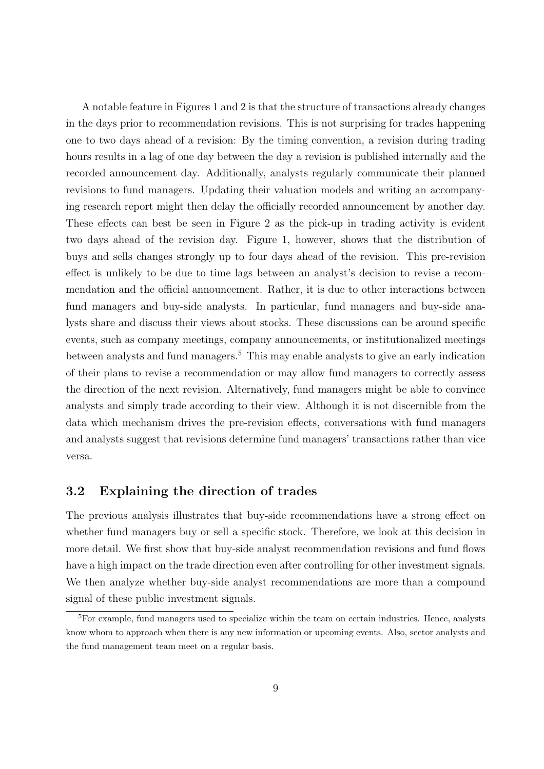A notable feature in Figures 1 and 2 is that the structure of transactions already changes in the days prior to recommendation revisions. This is not surprising for trades happening one to two days ahead of a revision: By the timing convention, a revision during trading hours results in a lag of one day between the day a revision is published internally and the recorded announcement day. Additionally, analysts regularly communicate their planned revisions to fund managers. Updating their valuation models and writing an accompanying research report might then delay the officially recorded announcement by another day. These effects can best be seen in Figure 2 as the pick-up in trading activity is evident two days ahead of the revision day. Figure 1, however, shows that the distribution of buys and sells changes strongly up to four days ahead of the revision. This pre-revision effect is unlikely to be due to time lags between an analyst's decision to revise a recommendation and the official announcement. Rather, it is due to other interactions between fund managers and buy-side analysts. In particular, fund managers and buy-side analysts share and discuss their views about stocks. These discussions can be around specific events, such as company meetings, company announcements, or institutionalized meetings between analysts and fund managers.<sup>5</sup> This may enable analysts to give an early indication of their plans to revise a recommendation or may allow fund managers to correctly assess the direction of the next revision. Alternatively, fund managers might be able to convince analysts and simply trade according to their view. Although it is not discernible from the data which mechanism drives the pre-revision effects, conversations with fund managers and analysts suggest that revisions determine fund managers' transactions rather than vice versa.

# 3.2 Explaining the direction of trades

The previous analysis illustrates that buy-side recommendations have a strong effect on whether fund managers buy or sell a specific stock. Therefore, we look at this decision in more detail. We first show that buy-side analyst recommendation revisions and fund flows have a high impact on the trade direction even after controlling for other investment signals. We then analyze whether buy-side analyst recommendations are more than a compound signal of these public investment signals.

<sup>&</sup>lt;sup>5</sup>For example, fund managers used to specialize within the team on certain industries. Hence, analysts know whom to approach when there is any new information or upcoming events. Also, sector analysts and the fund management team meet on a regular basis.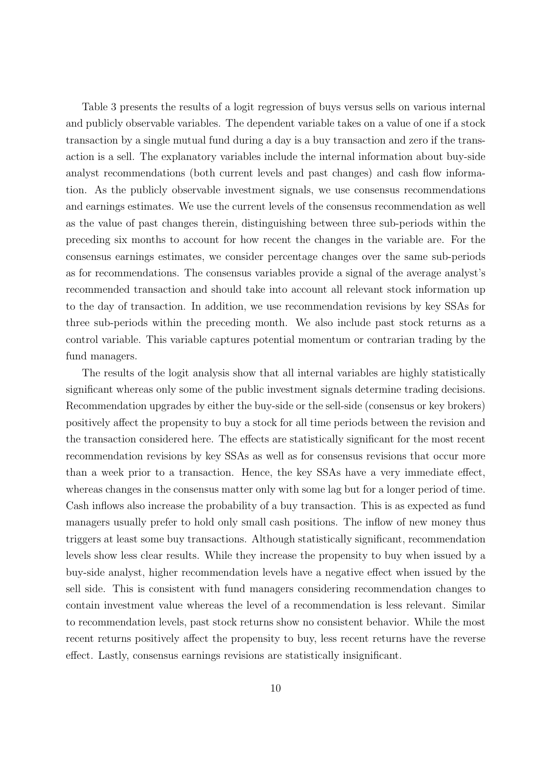Table 3 presents the results of a logit regression of buys versus sells on various internal and publicly observable variables. The dependent variable takes on a value of one if a stock transaction by a single mutual fund during a day is a buy transaction and zero if the transaction is a sell. The explanatory variables include the internal information about buy-side analyst recommendations (both current levels and past changes) and cash flow information. As the publicly observable investment signals, we use consensus recommendations and earnings estimates. We use the current levels of the consensus recommendation as well as the value of past changes therein, distinguishing between three sub-periods within the preceding six months to account for how recent the changes in the variable are. For the consensus earnings estimates, we consider percentage changes over the same sub-periods as for recommendations. The consensus variables provide a signal of the average analyst's recommended transaction and should take into account all relevant stock information up to the day of transaction. In addition, we use recommendation revisions by key SSAs for three sub-periods within the preceding month. We also include past stock returns as a control variable. This variable captures potential momentum or contrarian trading by the fund managers.

The results of the logit analysis show that all internal variables are highly statistically significant whereas only some of the public investment signals determine trading decisions. Recommendation upgrades by either the buy-side or the sell-side (consensus or key brokers) positively affect the propensity to buy a stock for all time periods between the revision and the transaction considered here. The effects are statistically significant for the most recent recommendation revisions by key SSAs as well as for consensus revisions that occur more than a week prior to a transaction. Hence, the key SSAs have a very immediate effect, whereas changes in the consensus matter only with some lag but for a longer period of time. Cash inflows also increase the probability of a buy transaction. This is as expected as fund managers usually prefer to hold only small cash positions. The inflow of new money thus triggers at least some buy transactions. Although statistically significant, recommendation levels show less clear results. While they increase the propensity to buy when issued by a buy-side analyst, higher recommendation levels have a negative effect when issued by the sell side. This is consistent with fund managers considering recommendation changes to contain investment value whereas the level of a recommendation is less relevant. Similar to recommendation levels, past stock returns show no consistent behavior. While the most recent returns positively affect the propensity to buy, less recent returns have the reverse effect. Lastly, consensus earnings revisions are statistically insignificant.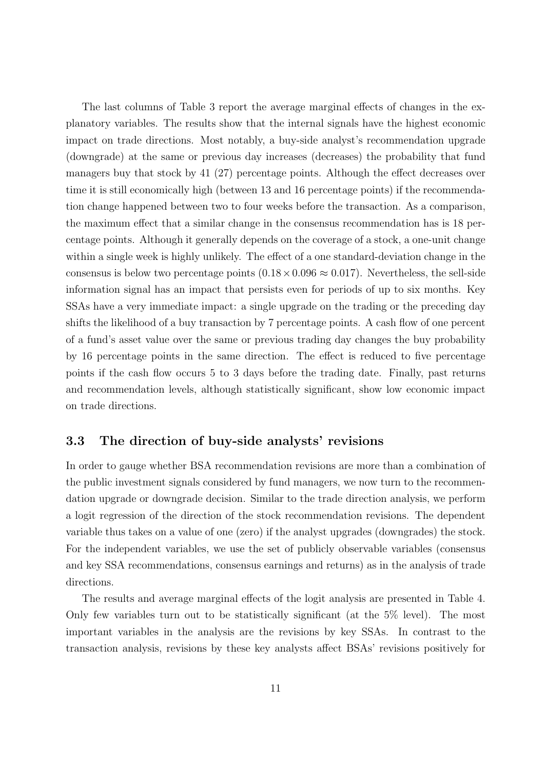The last columns of Table 3 report the average marginal effects of changes in the explanatory variables. The results show that the internal signals have the highest economic impact on trade directions. Most notably, a buy-side analyst's recommendation upgrade (downgrade) at the same or previous day increases (decreases) the probability that fund managers buy that stock by 41 (27) percentage points. Although the effect decreases over time it is still economically high (between 13 and 16 percentage points) if the recommendation change happened between two to four weeks before the transaction. As a comparison, the maximum effect that a similar change in the consensus recommendation has is 18 percentage points. Although it generally depends on the coverage of a stock, a one-unit change within a single week is highly unlikely. The effect of a one standard-deviation change in the consensus is below two percentage points  $(0.18 \times 0.096 \approx 0.017)$ . Nevertheless, the sell-side information signal has an impact that persists even for periods of up to six months. Key SSAs have a very immediate impact: a single upgrade on the trading or the preceding day shifts the likelihood of a buy transaction by 7 percentage points. A cash flow of one percent of a fund's asset value over the same or previous trading day changes the buy probability by 16 percentage points in the same direction. The effect is reduced to five percentage points if the cash flow occurs 5 to 3 days before the trading date. Finally, past returns and recommendation levels, although statistically significant, show low economic impact on trade directions.

### 3.3 The direction of buy-side analysts' revisions

In order to gauge whether BSA recommendation revisions are more than a combination of the public investment signals considered by fund managers, we now turn to the recommendation upgrade or downgrade decision. Similar to the trade direction analysis, we perform a logit regression of the direction of the stock recommendation revisions. The dependent variable thus takes on a value of one (zero) if the analyst upgrades (downgrades) the stock. For the independent variables, we use the set of publicly observable variables (consensus and key SSA recommendations, consensus earnings and returns) as in the analysis of trade directions.

The results and average marginal effects of the logit analysis are presented in Table 4. Only few variables turn out to be statistically significant (at the 5% level). The most important variables in the analysis are the revisions by key SSAs. In contrast to the transaction analysis, revisions by these key analysts affect BSAs' revisions positively for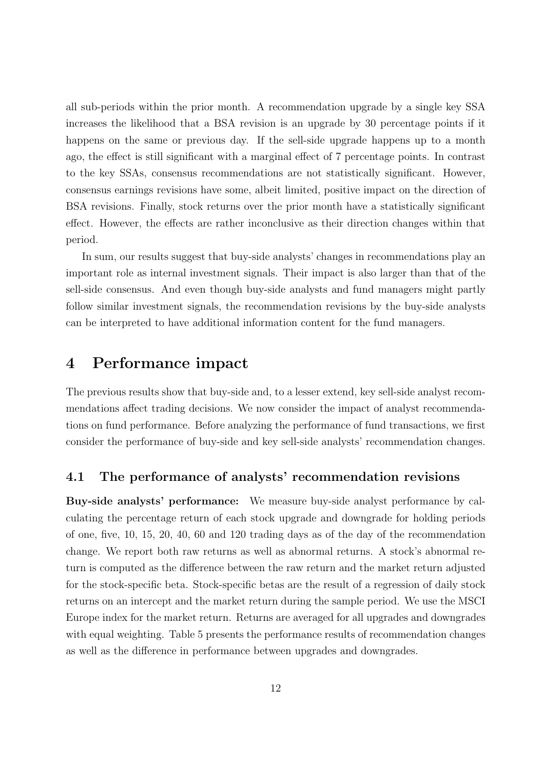all sub-periods within the prior month. A recommendation upgrade by a single key SSA increases the likelihood that a BSA revision is an upgrade by 30 percentage points if it happens on the same or previous day. If the sell-side upgrade happens up to a month ago, the effect is still significant with a marginal effect of 7 percentage points. In contrast to the key SSAs, consensus recommendations are not statistically significant. However, consensus earnings revisions have some, albeit limited, positive impact on the direction of BSA revisions. Finally, stock returns over the prior month have a statistically significant effect. However, the effects are rather inconclusive as their direction changes within that period.

In sum, our results suggest that buy-side analysts' changes in recommendations play an important role as internal investment signals. Their impact is also larger than that of the sell-side consensus. And even though buy-side analysts and fund managers might partly follow similar investment signals, the recommendation revisions by the buy-side analysts can be interpreted to have additional information content for the fund managers.

# 4 Performance impact

The previous results show that buy-side and, to a lesser extend, key sell-side analyst recommendations affect trading decisions. We now consider the impact of analyst recommendations on fund performance. Before analyzing the performance of fund transactions, we first consider the performance of buy-side and key sell-side analysts' recommendation changes.

# 4.1 The performance of analysts' recommendation revisions

Buy-side analysts' performance: We measure buy-side analyst performance by calculating the percentage return of each stock upgrade and downgrade for holding periods of one, five, 10, 15, 20, 40, 60 and 120 trading days as of the day of the recommendation change. We report both raw returns as well as abnormal returns. A stock's abnormal return is computed as the difference between the raw return and the market return adjusted for the stock-specific beta. Stock-specific betas are the result of a regression of daily stock returns on an intercept and the market return during the sample period. We use the MSCI Europe index for the market return. Returns are averaged for all upgrades and downgrades with equal weighting. Table 5 presents the performance results of recommendation changes as well as the difference in performance between upgrades and downgrades.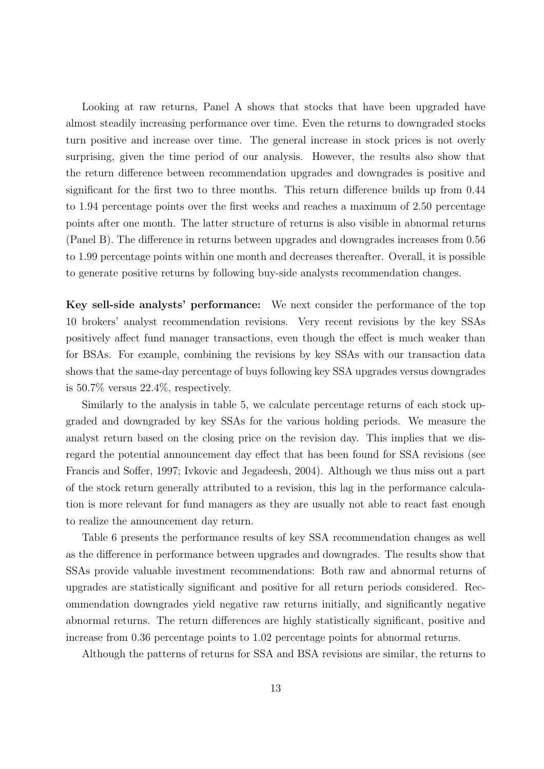Looking at raw returns, Panel A shows that stocks that have been upgraded have almost steadily increasing performance over time. Even the returns to downgraded stocks turn positive and increase over time. The general increase in stock prices is not overly surprising, given the time period of our analysis. However, the results also show that the return difference between recommendation upgrades and downgrades is positive and significant for the first two to three months. This return difference builds up from 0.44 to 1.94 percentage points over the first weeks and reaches a maximum of 2.50 percentage points after one month. The latter structure of returns is also visible in abnormal returns (Panel B). The difference in returns between upgrades and downgrades increases from 0.56 to 1.99 percentage points within one month and decreases thereafter. Overall, it is possible to generate positive returns by following buy-side analysts recommendation changes.

Key sell-side analysts' performance: We next consider the performance of the top 10 brokers' analyst recommendation revisions. Very recent revisions by the key SSAs positively affect fund manager transactions, even though the effect is much weaker than for BSAs. For example, combining the revisions by key SSAs with our transaction data shows that the same-day percentage of buys following key SSA upgrades versus downgrades is 50.7% versus 22.4%, respectively.

Similarly to the analysis in table 5, we calculate percentage returns of each stock upgraded and downgraded by key SSAs for the various holding periods. We measure the analyst return based on the closing price on the revision day. This implies that we disregard the potential announcement day effect that has been found for SSA revisions (see Francis and Soffer, 1997; Ivkovic and Jegadeesh, 2004). Although we thus miss out a part of the stock return generally attributed to a revision, this lag in the performance calculation is more relevant for fund managers as they are usually not able to react fast enough to realize the announcement day return.

Table 6 presents the performance results of key SSA recommendation changes as well as the difference in performance between upgrades and downgrades. The results show that SSAs provide valuable investment recommendations: Both raw and abnormal returns of upgrades are statistically significant and positive for all return periods considered. Recommendation downgrades yield negative raw returns initially, and significantly negative abnormal returns. The return differences are highly statistically significant, positive and increase from 0.36 percentage points to 1.02 percentage points for abnormal returns.

Although the patterns of returns for SSA and BSA revisions are similar, the returns to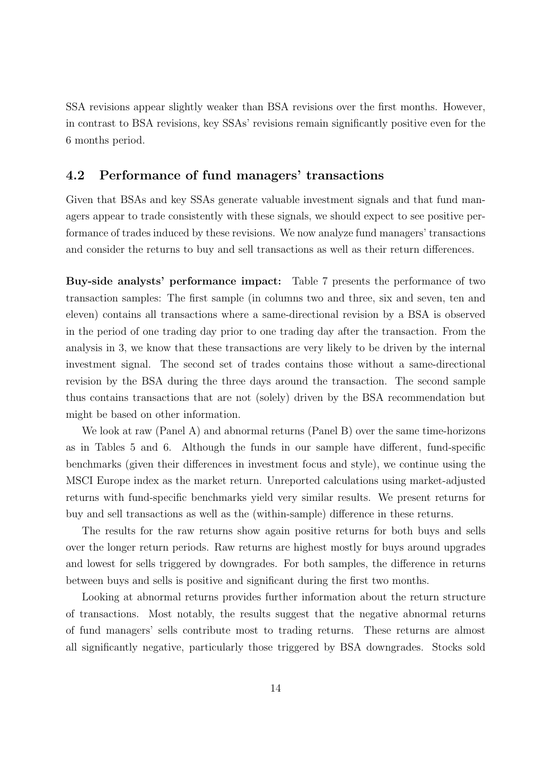SSA revisions appear slightly weaker than BSA revisions over the first months. However, in contrast to BSA revisions, key SSAs' revisions remain significantly positive even for the 6 months period.

### 4.2 Performance of fund managers' transactions

Given that BSAs and key SSAs generate valuable investment signals and that fund managers appear to trade consistently with these signals, we should expect to see positive performance of trades induced by these revisions. We now analyze fund managers' transactions and consider the returns to buy and sell transactions as well as their return differences.

Buy-side analysts' performance impact: Table 7 presents the performance of two transaction samples: The first sample (in columns two and three, six and seven, ten and eleven) contains all transactions where a same-directional revision by a BSA is observed in the period of one trading day prior to one trading day after the transaction. From the analysis in 3, we know that these transactions are very likely to be driven by the internal investment signal. The second set of trades contains those without a same-directional revision by the BSA during the three days around the transaction. The second sample thus contains transactions that are not (solely) driven by the BSA recommendation but might be based on other information.

We look at raw (Panel A) and abnormal returns (Panel B) over the same time-horizons as in Tables 5 and 6. Although the funds in our sample have different, fund-specific benchmarks (given their differences in investment focus and style), we continue using the MSCI Europe index as the market return. Unreported calculations using market-adjusted returns with fund-specific benchmarks yield very similar results. We present returns for buy and sell transactions as well as the (within-sample) difference in these returns.

The results for the raw returns show again positive returns for both buys and sells over the longer return periods. Raw returns are highest mostly for buys around upgrades and lowest for sells triggered by downgrades. For both samples, the difference in returns between buys and sells is positive and significant during the first two months.

Looking at abnormal returns provides further information about the return structure of transactions. Most notably, the results suggest that the negative abnormal returns of fund managers' sells contribute most to trading returns. These returns are almost all significantly negative, particularly those triggered by BSA downgrades. Stocks sold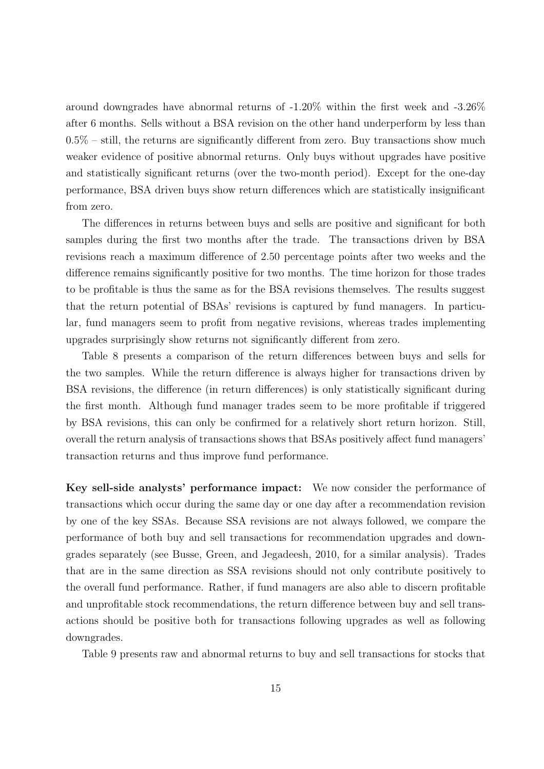around downgrades have abnormal returns of -1.20% within the first week and -3.26% after 6 months. Sells without a BSA revision on the other hand underperform by less than  $0.5\%$  – still, the returns are significantly different from zero. Buy transactions show much weaker evidence of positive abnormal returns. Only buys without upgrades have positive and statistically significant returns (over the two-month period). Except for the one-day performance, BSA driven buys show return differences which are statistically insignificant from zero.

The differences in returns between buys and sells are positive and significant for both samples during the first two months after the trade. The transactions driven by BSA revisions reach a maximum difference of 2.50 percentage points after two weeks and the difference remains significantly positive for two months. The time horizon for those trades to be profitable is thus the same as for the BSA revisions themselves. The results suggest that the return potential of BSAs' revisions is captured by fund managers. In particular, fund managers seem to profit from negative revisions, whereas trades implementing upgrades surprisingly show returns not significantly different from zero.

Table 8 presents a comparison of the return differences between buys and sells for the two samples. While the return difference is always higher for transactions driven by BSA revisions, the difference (in return differences) is only statistically significant during the first month. Although fund manager trades seem to be more profitable if triggered by BSA revisions, this can only be confirmed for a relatively short return horizon. Still, overall the return analysis of transactions shows that BSAs positively affect fund managers' transaction returns and thus improve fund performance.

Key sell-side analysts' performance impact: We now consider the performance of transactions which occur during the same day or one day after a recommendation revision by one of the key SSAs. Because SSA revisions are not always followed, we compare the performance of both buy and sell transactions for recommendation upgrades and downgrades separately (see Busse, Green, and Jegadeesh, 2010, for a similar analysis). Trades that are in the same direction as SSA revisions should not only contribute positively to the overall fund performance. Rather, if fund managers are also able to discern profitable and unprofitable stock recommendations, the return difference between buy and sell transactions should be positive both for transactions following upgrades as well as following downgrades.

Table 9 presents raw and abnormal returns to buy and sell transactions for stocks that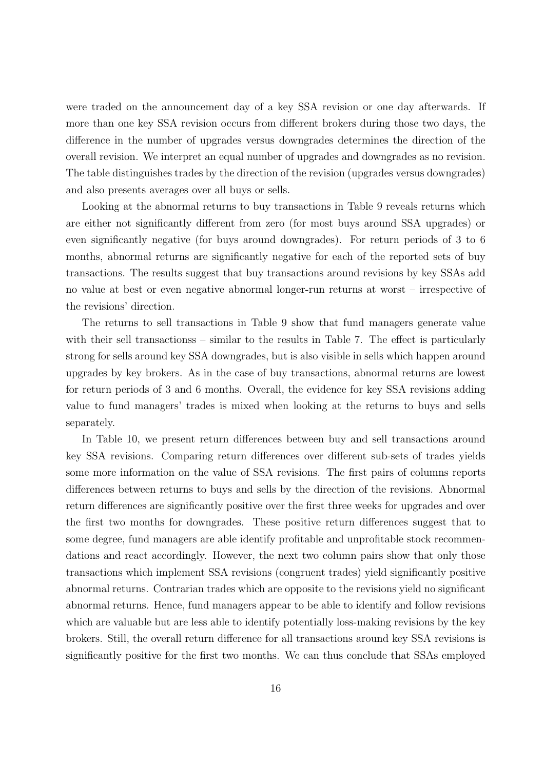were traded on the announcement day of a key SSA revision or one day afterwards. If more than one key SSA revision occurs from different brokers during those two days, the difference in the number of upgrades versus downgrades determines the direction of the overall revision. We interpret an equal number of upgrades and downgrades as no revision. The table distinguishes trades by the direction of the revision (upgrades versus downgrades) and also presents averages over all buys or sells.

Looking at the abnormal returns to buy transactions in Table 9 reveals returns which are either not significantly different from zero (for most buys around SSA upgrades) or even significantly negative (for buys around downgrades). For return periods of 3 to 6 months, abnormal returns are significantly negative for each of the reported sets of buy transactions. The results suggest that buy transactions around revisions by key SSAs add no value at best or even negative abnormal longer-run returns at worst – irrespective of the revisions' direction.

The returns to sell transactions in Table 9 show that fund managers generate value with their sell transactionss – similar to the results in Table 7. The effect is particularly strong for sells around key SSA downgrades, but is also visible in sells which happen around upgrades by key brokers. As in the case of buy transactions, abnormal returns are lowest for return periods of 3 and 6 months. Overall, the evidence for key SSA revisions adding value to fund managers' trades is mixed when looking at the returns to buys and sells separately.

In Table 10, we present return differences between buy and sell transactions around key SSA revisions. Comparing return differences over different sub-sets of trades yields some more information on the value of SSA revisions. The first pairs of columns reports differences between returns to buys and sells by the direction of the revisions. Abnormal return differences are significantly positive over the first three weeks for upgrades and over the first two months for downgrades. These positive return differences suggest that to some degree, fund managers are able identify profitable and unprofitable stock recommendations and react accordingly. However, the next two column pairs show that only those transactions which implement SSA revisions (congruent trades) yield significantly positive abnormal returns. Contrarian trades which are opposite to the revisions yield no significant abnormal returns. Hence, fund managers appear to be able to identify and follow revisions which are valuable but are less able to identify potentially loss-making revisions by the key brokers. Still, the overall return difference for all transactions around key SSA revisions is significantly positive for the first two months. We can thus conclude that SSAs employed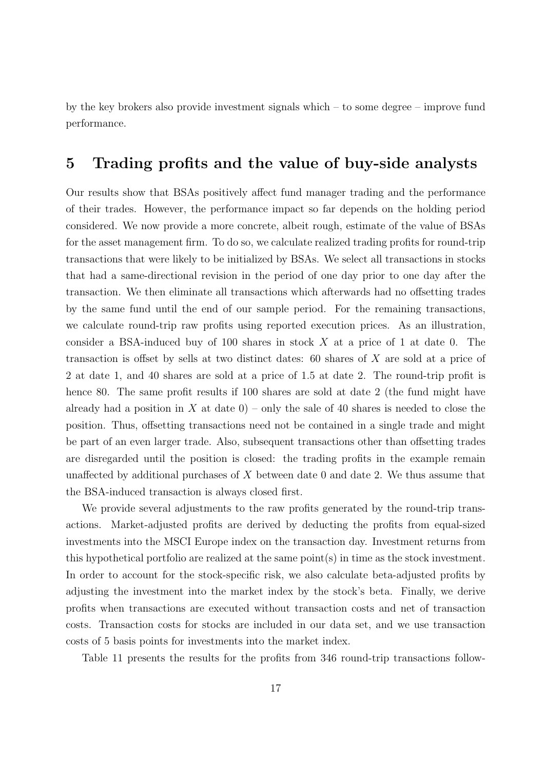by the key brokers also provide investment signals which – to some degree – improve fund performance.

# 5 Trading profits and the value of buy-side analysts

Our results show that BSAs positively affect fund manager trading and the performance of their trades. However, the performance impact so far depends on the holding period considered. We now provide a more concrete, albeit rough, estimate of the value of BSAs for the asset management firm. To do so, we calculate realized trading profits for round-trip transactions that were likely to be initialized by BSAs. We select all transactions in stocks that had a same-directional revision in the period of one day prior to one day after the transaction. We then eliminate all transactions which afterwards had no offsetting trades by the same fund until the end of our sample period. For the remaining transactions, we calculate round-trip raw profits using reported execution prices. As an illustration, consider a BSA-induced buy of 100 shares in stock  $X$  at a price of 1 at date 0. The transaction is offset by sells at two distinct dates: 60 shares of X are sold at a price of 2 at date 1, and 40 shares are sold at a price of 1.5 at date 2. The round-trip profit is hence 80. The same profit results if 100 shares are sold at date 2 (the fund might have already had a position in X at date  $0$ ) – only the sale of 40 shares is needed to close the position. Thus, offsetting transactions need not be contained in a single trade and might be part of an even larger trade. Also, subsequent transactions other than offsetting trades are disregarded until the position is closed: the trading profits in the example remain unaffected by additional purchases of  $X$  between date 0 and date 2. We thus assume that the BSA-induced transaction is always closed first.

We provide several adjustments to the raw profits generated by the round-trip transactions. Market-adjusted profits are derived by deducting the profits from equal-sized investments into the MSCI Europe index on the transaction day. Investment returns from this hypothetical portfolio are realized at the same point(s) in time as the stock investment. In order to account for the stock-specific risk, we also calculate beta-adjusted profits by adjusting the investment into the market index by the stock's beta. Finally, we derive profits when transactions are executed without transaction costs and net of transaction costs. Transaction costs for stocks are included in our data set, and we use transaction costs of 5 basis points for investments into the market index.

Table 11 presents the results for the profits from 346 round-trip transactions follow-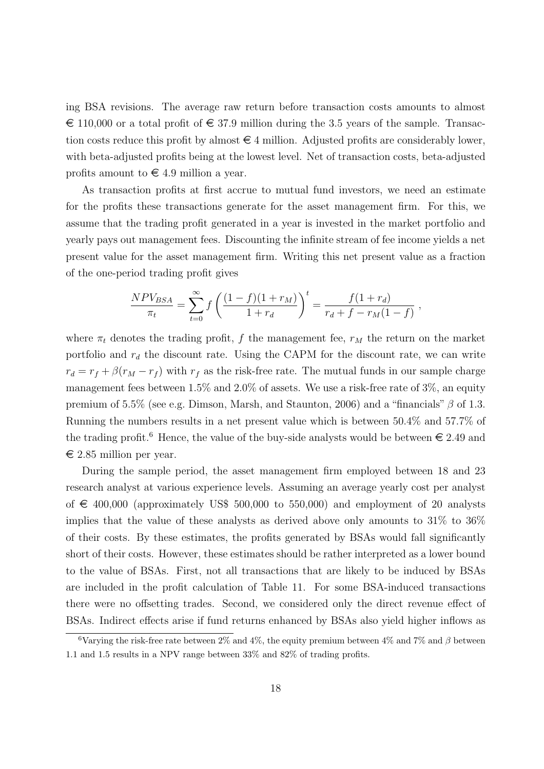ing BSA revisions. The average raw return before transaction costs amounts to almost  $\epsilon$  110,000 or a total profit of  $\epsilon$  37.9 million during the 3.5 years of the sample. Transaction costs reduce this profit by almost  $\in$  4 million. Adjusted profits are considerably lower, with beta-adjusted profits being at the lowest level. Net of transaction costs, beta-adjusted profits amount to  $\in$  4.9 million a year.

As transaction profits at first accrue to mutual fund investors, we need an estimate for the profits these transactions generate for the asset management firm. For this, we assume that the trading profit generated in a year is invested in the market portfolio and yearly pays out management fees. Discounting the infinite stream of fee income yields a net present value for the asset management firm. Writing this net present value as a fraction of the one-period trading profit gives

$$
\frac{NPV_{BSA}}{\pi_t} = \sum_{t=0}^{\infty} f\left(\frac{(1-f)(1+r_M)}{1+r_d}\right)^t = \frac{f(1+r_d)}{r_d + f - r_M(1-f)},
$$

where  $\pi_t$  denotes the trading profit, f the management fee,  $r_M$  the return on the market portfolio and  $r_d$  the discount rate. Using the CAPM for the discount rate, we can write  $r_d = r_f + \beta(r_M - r_f)$  with  $r_f$  as the risk-free rate. The mutual funds in our sample charge management fees between 1.5% and 2.0% of assets. We use a risk-free rate of  $3\%$ , an equity premium of 5.5% (see e.g. Dimson, Marsh, and Staunton, 2006) and a "financials"  $\beta$  of 1.3. Running the numbers results in a net present value which is between 50.4% and 57.7% of the trading profit.<sup>6</sup> Hence, the value of the buy-side analysts would be between  $\in 2.49$  and  $\epsilon$  2.85 million per year.

During the sample period, the asset management firm employed between 18 and 23 research analyst at various experience levels. Assuming an average yearly cost per analyst of  $\epsilon$  400,000 (approximately US\$ 500,000 to 550,000) and employment of 20 analysts implies that the value of these analysts as derived above only amounts to 31% to 36% of their costs. By these estimates, the profits generated by BSAs would fall significantly short of their costs. However, these estimates should be rather interpreted as a lower bound to the value of BSAs. First, not all transactions that are likely to be induced by BSAs are included in the profit calculation of Table 11. For some BSA-induced transactions there were no offsetting trades. Second, we considered only the direct revenue effect of BSAs. Indirect effects arise if fund returns enhanced by BSAs also yield higher inflows as

 $\sqrt[6]{\text{Varying the risk-free rate between 2\%}}$  and 4%, the equity premium between 4% and 7% and  $\beta$  between 1.1 and 1.5 results in a NPV range between 33% and 82% of trading profits.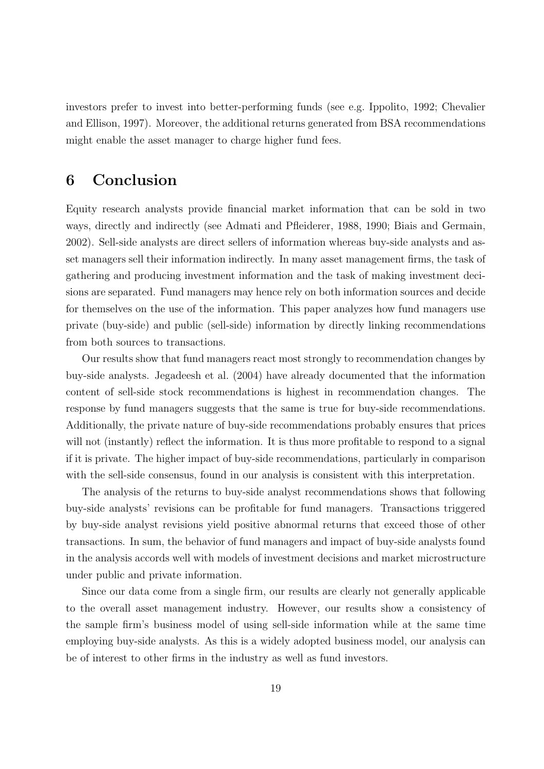investors prefer to invest into better-performing funds (see e.g. Ippolito, 1992; Chevalier and Ellison, 1997). Moreover, the additional returns generated from BSA recommendations might enable the asset manager to charge higher fund fees.

# 6 Conclusion

Equity research analysts provide financial market information that can be sold in two ways, directly and indirectly (see Admati and Pfleiderer, 1988, 1990; Biais and Germain, 2002). Sell-side analysts are direct sellers of information whereas buy-side analysts and asset managers sell their information indirectly. In many asset management firms, the task of gathering and producing investment information and the task of making investment decisions are separated. Fund managers may hence rely on both information sources and decide for themselves on the use of the information. This paper analyzes how fund managers use private (buy-side) and public (sell-side) information by directly linking recommendations from both sources to transactions.

Our results show that fund managers react most strongly to recommendation changes by buy-side analysts. Jegadeesh et al. (2004) have already documented that the information content of sell-side stock recommendations is highest in recommendation changes. The response by fund managers suggests that the same is true for buy-side recommendations. Additionally, the private nature of buy-side recommendations probably ensures that prices will not (instantly) reflect the information. It is thus more profitable to respond to a signal if it is private. The higher impact of buy-side recommendations, particularly in comparison with the sell-side consensus, found in our analysis is consistent with this interpretation.

The analysis of the returns to buy-side analyst recommendations shows that following buy-side analysts' revisions can be profitable for fund managers. Transactions triggered by buy-side analyst revisions yield positive abnormal returns that exceed those of other transactions. In sum, the behavior of fund managers and impact of buy-side analysts found in the analysis accords well with models of investment decisions and market microstructure under public and private information.

Since our data come from a single firm, our results are clearly not generally applicable to the overall asset management industry. However, our results show a consistency of the sample firm's business model of using sell-side information while at the same time employing buy-side analysts. As this is a widely adopted business model, our analysis can be of interest to other firms in the industry as well as fund investors.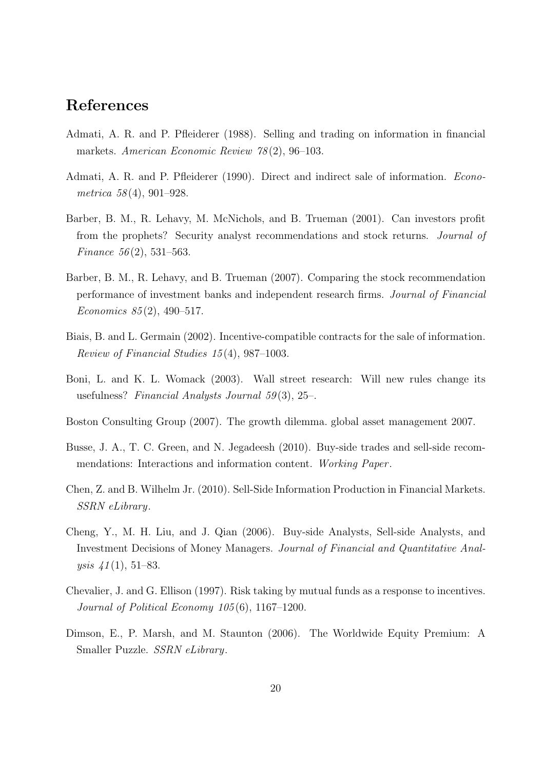# References

- Admati, A. R. and P. Pfleiderer (1988). Selling and trading on information in financial markets. American Economic Review 78 (2), 96–103.
- Admati, A. R. and P. Pfleiderer (1990). Direct and indirect sale of information. Econometrica  $58(4)$ , 901–928.
- Barber, B. M., R. Lehavy, M. McNichols, and B. Trueman (2001). Can investors profit from the prophets? Security analyst recommendations and stock returns. Journal of Finance  $56(2)$ , 531–563.
- Barber, B. M., R. Lehavy, and B. Trueman (2007). Comparing the stock recommendation performance of investment banks and independent research firms. Journal of Financial Economics  $85(2)$ , 490–517.
- Biais, B. and L. Germain (2002). Incentive-compatible contracts for the sale of information. Review of Financial Studies 15 (4), 987–1003.
- Boni, L. and K. L. Womack (2003). Wall street research: Will new rules change its usefulness? Financial Analysts Journal  $59(3)$ , 25–.
- Boston Consulting Group (2007). The growth dilemma. global asset management 2007.
- Busse, J. A., T. C. Green, and N. Jegadeesh (2010). Buy-side trades and sell-side recommendations: Interactions and information content. Working Paper.
- Chen, Z. and B. Wilhelm Jr. (2010). Sell-Side Information Production in Financial Markets. SSRN eLibrary.
- Cheng, Y., M. H. Liu, and J. Qian (2006). Buy-side Analysts, Sell-side Analysts, and Investment Decisions of Money Managers. Journal of Financial and Quantitative Analysis  $41(1)$ , 51–83.
- Chevalier, J. and G. Ellison (1997). Risk taking by mutual funds as a response to incentives. Journal of Political Economy 105 (6), 1167–1200.
- Dimson, E., P. Marsh, and M. Staunton (2006). The Worldwide Equity Premium: A Smaller Puzzle. SSRN eLibrary.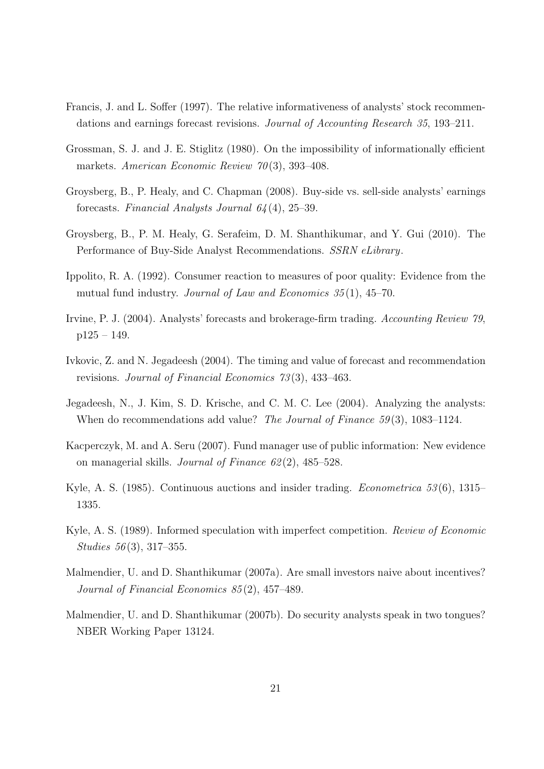- Francis, J. and L. Soffer (1997). The relative informativeness of analysts' stock recommendations and earnings forecast revisions. Journal of Accounting Research 35, 193–211.
- Grossman, S. J. and J. E. Stiglitz (1980). On the impossibility of informationally efficient markets. American Economic Review 70(3), 393-408.
- Groysberg, B., P. Healy, and C. Chapman (2008). Buy-side vs. sell-side analysts' earnings forecasts. Financial Analysts Journal  $64(4)$ , 25-39.
- Groysberg, B., P. M. Healy, G. Serafeim, D. M. Shanthikumar, and Y. Gui (2010). The Performance of Buy-Side Analyst Recommendations. SSRN eLibrary.
- Ippolito, R. A. (1992). Consumer reaction to measures of poor quality: Evidence from the mutual fund industry. *Journal of Law and Economics* 35(1), 45–70.
- Irvine, P. J. (2004). Analysts' forecasts and brokerage-firm trading. Accounting Review 79, p125 – 149.
- Ivkovic, Z. and N. Jegadeesh (2004). The timing and value of forecast and recommendation revisions. Journal of Financial Economics 73 (3), 433–463.
- Jegadeesh, N., J. Kim, S. D. Krische, and C. M. C. Lee (2004). Analyzing the analysts: When do recommendations add value? The Journal of Finance  $59(3)$ , 1083-1124.
- Kacperczyk, M. and A. Seru (2007). Fund manager use of public information: New evidence on managerial skills. Journal of Finance  $62(2)$ , 485–528.
- Kyle, A. S. (1985). Continuous auctions and insider trading. *Econometrica* 53(6), 1315– 1335.
- Kyle, A. S. (1989). Informed speculation with imperfect competition. Review of Economic Studies  $56(3)$ , 317–355.
- Malmendier, U. and D. Shanthikumar (2007a). Are small investors naive about incentives? Journal of Financial Economics 85 (2), 457–489.
- Malmendier, U. and D. Shanthikumar (2007b). Do security analysts speak in two tongues? NBER Working Paper 13124.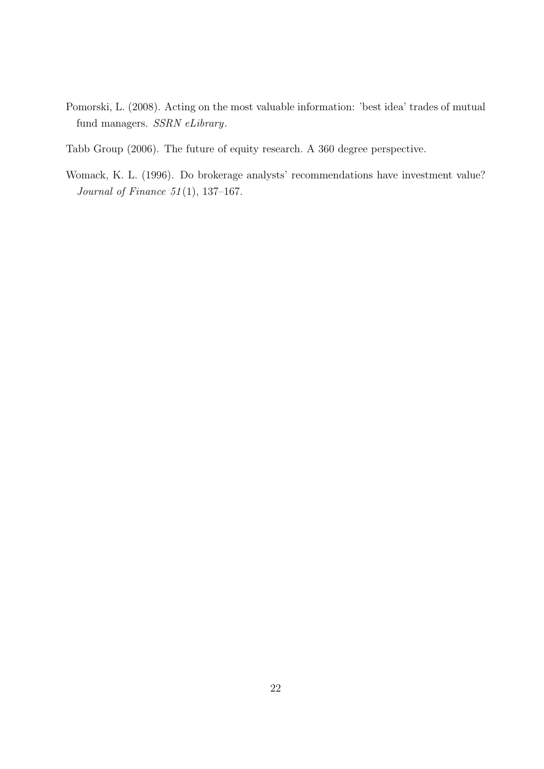- Pomorski, L. (2008). Acting on the most valuable information: 'best idea' trades of mutual fund managers. SSRN eLibrary.
- Tabb Group (2006). The future of equity research. A 360 degree perspective.
- Womack, K. L. (1996). Do brokerage analysts' recommendations have investment value? Journal of Finance 51 (1), 137–167.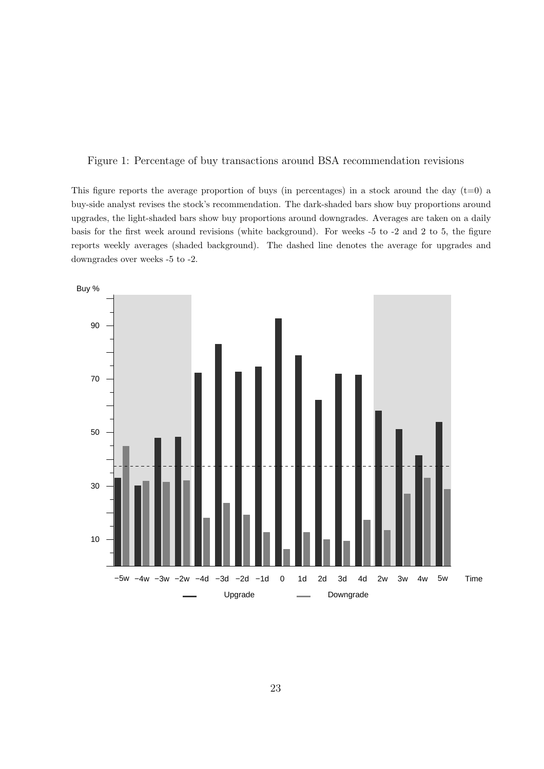Figure 1: Percentage of buy transactions around BSA recommendation revisions

This figure reports the average proportion of buys (in percentages) in a stock around the day  $(t=0)$  a buy-side analyst revises the stock's recommendation. The dark-shaded bars show buy proportions around upgrades, the light-shaded bars show buy proportions around downgrades. Averages are taken on a daily basis for the first week around revisions (white background). For weeks -5 to -2 and 2 to 5, the figure reports weekly averages (shaded background). The dashed line denotes the average for upgrades and downgrades over weeks -5 to -2.

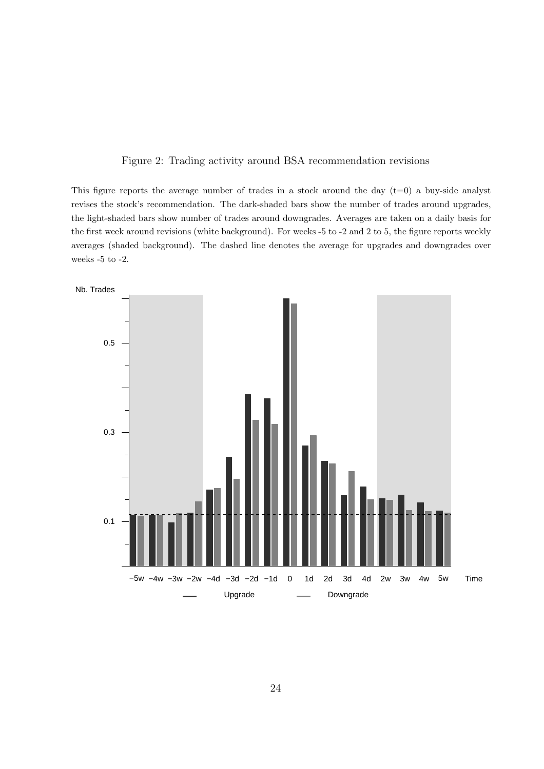Figure 2: Trading activity around BSA recommendation revisions

This figure reports the average number of trades in a stock around the day  $(t=0)$  a buy-side analyst revises the stock's recommendation. The dark-shaded bars show the number of trades around upgrades, the light-shaded bars show number of trades around downgrades. Averages are taken on a daily basis for the first week around revisions (white background). For weeks -5 to -2 and 2 to 5, the figure reports weekly averages (shaded background). The dashed line denotes the average for upgrades and downgrades over weeks -5 to -2.

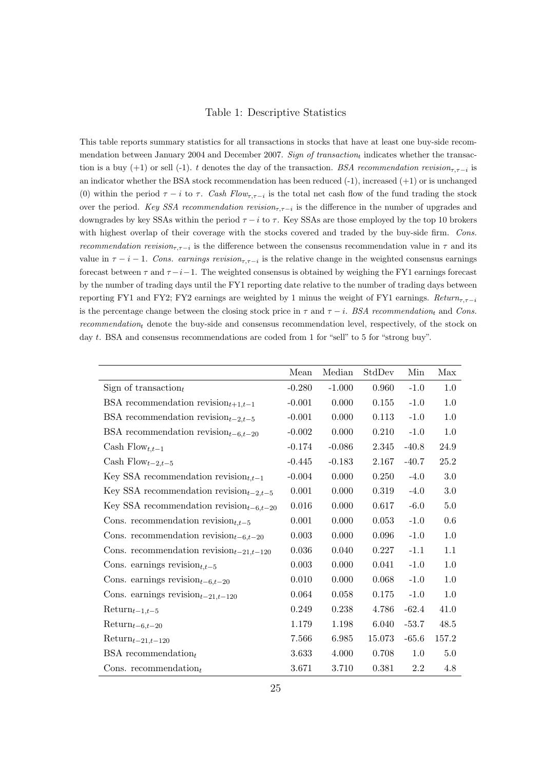#### Table 1: Descriptive Statistics

This table reports summary statistics for all transactions in stocks that have at least one buy-side recommendation between January 2004 and December 2007. Sign of transaction<sub>t</sub> indicates whether the transaction is a buy (+1) or sell (-1). t denotes the day of the transaction. BSA recommendation revision<sub>τ,τ−i</sub> is an indicator whether the BSA stock recommendation has been reduced  $(-1)$ , increased  $(+1)$  or is unchanged (0) within the period  $\tau - i$  to  $\tau$ . Cash Flow<sub> $\tau$ , $\tau$ -is the total net cash flow of the fund trading the stock</sub> over the period. Key SSA recommendation revision<sub>τ,τ−i</sub> is the difference in the number of upgrades and downgrades by key SSAs within the period  $\tau - i$  to  $\tau$ . Key SSAs are those employed by the top 10 brokers with highest overlap of their coverage with the stocks covered and traded by the buy-side firm. Cons. *recommendation revision*<sub>τ, $\tau-i$ </sub> is the difference between the consensus recommendation value in  $\tau$  and its value in  $\tau - i - 1$ . Cons. earnings revision<sub> $\tau$ , $\tau$ -is the relative change in the weighted consensus earnings</sub> forecast between  $\tau$  and  $\tau - i - 1$ . The weighted consensus is obtained by weighing the FY1 earnings forecast by the number of trading days until the FY1 reporting date relative to the number of trading days between reporting FY1 and FY2; FY2 earnings are weighted by 1 minus the weight of FY1 earnings. Return<sub>ττ $-1$ </sub> is the percentage change between the closing stock price in  $\tau$  and  $\tau - i$ . BSA recommendation<sub>t</sub> and Cons.  $recommentalion<sub>t</sub>$  denote the buy-side and consensus recommendation level, respectively, of the stock on day t. BSA and consensus recommendations are coded from 1 for "sell" to 5 for "strong buy".

|                                               | Mean     | Median   | StdDev | Min     | Max     |
|-----------------------------------------------|----------|----------|--------|---------|---------|
| Sign of transaction $t$                       | $-0.280$ | $-1.000$ | 0.960  | $-1.0$  | 1.0     |
| BSA recommendation revision $t_{t+1,t-1}$     | $-0.001$ | 0.000    | 0.155  | $-1.0$  | 1.0     |
| BSA recommendation revision $_{t-2,t-5}$      | $-0.001$ | 0.000    | 0.113  | $-1.0$  | 1.0     |
| BSA recommendation revision $_{t-6,t-20}$     | $-0.002$ | 0.000    | 0.210  | $-1.0$  | $1.0\,$ |
| Cash Flow <sub>t,t-1</sub>                    | $-0.174$ | $-0.086$ | 2.345  | $-40.8$ | 24.9    |
| Cash Flow <sub>t-2,t-5</sub>                  | $-0.445$ | $-0.183$ | 2.167  | $-40.7$ | 25.2    |
| Key SSA recommendation revision $_{t,t-1}$    | $-0.004$ | 0.000    | 0.250  | $-4.0$  | $3.0\,$ |
| Key SSA recommendation revision $_{t-2,t-5}$  | 0.001    | 0.000    | 0.319  | $-4.0$  | $3.0\,$ |
| Key SSA recommendation revision $_{t-6,t-20}$ | 0.016    | 0.000    | 0.617  | $-6.0$  | $5.0\,$ |
| Cons. recommendation revision $_{t,t-5}$      | 0.001    | 0.000    | 0.053  | $-1.0$  | 0.6     |
| Cons. recommendation revision $_{t-6,t-20}$   | 0.003    | 0.000    | 0.096  | $-1.0$  | 1.0     |
| Cons. recommendation revision $_{t-21,t-120}$ | 0.036    | 0.040    | 0.227  | $-1.1$  | 1.1     |
| Cons. earnings revision $_{t,t-5}$            | 0.003    | 0.000    | 0.041  | $-1.0$  | 1.0     |
| Cons. earnings revision $_{t-6,t-20}$         | 0.010    | 0.000    | 0.068  | $-1.0$  | 1.0     |
| Cons. earnings revision $_{t-21,t-120}$       | 0.064    | 0.058    | 0.175  | $-1.0$  | 1.0     |
| $Return_{t-1,t-5}$                            | 0.249    | 0.238    | 4.786  | $-62.4$ | 41.0    |
| $Return_{t-6,t-20}$                           | 1.179    | 1.198    | 6.040  | $-53.7$ | 48.5    |
| $Return_{t-21,t-120}$                         | 7.566    | 6.985    | 15.073 | $-65.6$ | 157.2   |
| BSA recommendation $_t$                       | 3.633    | 4.000    | 0.708  | 1.0     | $5.0\,$ |
| Cons. recommendation                          | 3.671    | 3.710    | 0.381  | 2.2     | 4.8     |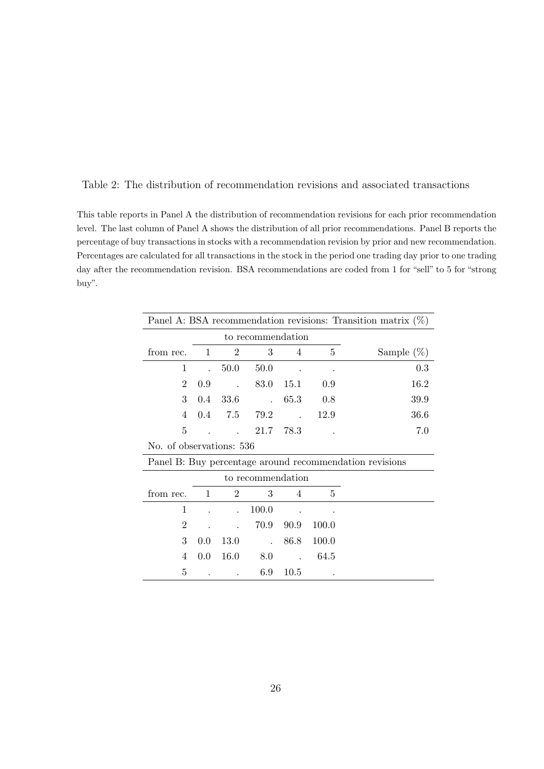#### Table 2: The distribution of recommendation revisions and associated transactions

This table reports in Panel A the distribution of recommendation revisions for each prior recommendation level. The last column of Panel A shows the distribution of all prior recommendations. Panel B reports the percentage of buy transactions in stocks with a recommendation revision by prior and new recommendation. Percentages are calculated for all transactions in the stock in the period one trading day prior to one trading day after the recommendation revision. BSA recommendations are coded from 1 for "sell" to 5 for "strong buy".

| Panel A: BSA recommendation revisions: Transition matrix $(\%)$ |                      |                                                                       |                   |                |       |                                                         |  |  |  |  |
|-----------------------------------------------------------------|----------------------|-----------------------------------------------------------------------|-------------------|----------------|-------|---------------------------------------------------------|--|--|--|--|
| to recommendation                                               |                      |                                                                       |                   |                |       |                                                         |  |  |  |  |
| from rec.                                                       | $\mathbf{1}$         | 3<br>$\overline{2}$<br>Sample $(\%)$<br>$5^{\circ}$<br>$\overline{4}$ |                   |                |       |                                                         |  |  |  |  |
| 1                                                               | $\ddot{\phantom{a}}$ | 50.0                                                                  | 50.0              |                |       | 0.3                                                     |  |  |  |  |
| 2                                                               | 0.9                  |                                                                       | 83.0              | 15.1           | 0.9   | 16.2                                                    |  |  |  |  |
| 3                                                               | $0.4\,$              | 33.6                                                                  |                   | 65.3           | 0.8   | 39.9                                                    |  |  |  |  |
| $\overline{4}$                                                  |                      |                                                                       | $0.4$ 7.5 79.2    |                | 12.9  | 36.6                                                    |  |  |  |  |
| 5                                                               |                      |                                                                       | 21.7              | 78.3           |       | 7.0                                                     |  |  |  |  |
| No. of observations: 536                                        |                      |                                                                       |                   |                |       |                                                         |  |  |  |  |
|                                                                 |                      |                                                                       |                   |                |       | Panel B: Buy percentage around recommendation revisions |  |  |  |  |
|                                                                 |                      |                                                                       | to recommendation |                |       |                                                         |  |  |  |  |
| from rec.                                                       | $\mathbf{1}$         | $\overline{2}$                                                        | 3                 | $\overline{4}$ | 5     |                                                         |  |  |  |  |
| 1                                                               |                      |                                                                       | 100.0             |                |       |                                                         |  |  |  |  |
| $\overline{2}$                                                  |                      |                                                                       | 70.9              | 90.9           | 100.0 |                                                         |  |  |  |  |
| 3                                                               | 0.0                  | 13.0                                                                  |                   | 86.8           | 100.0 |                                                         |  |  |  |  |
| 4                                                               | 0.0                  | 16.0                                                                  | 8.0               |                | 64.5  |                                                         |  |  |  |  |
| 5                                                               |                      |                                                                       | 6.9               | 10.5           |       |                                                         |  |  |  |  |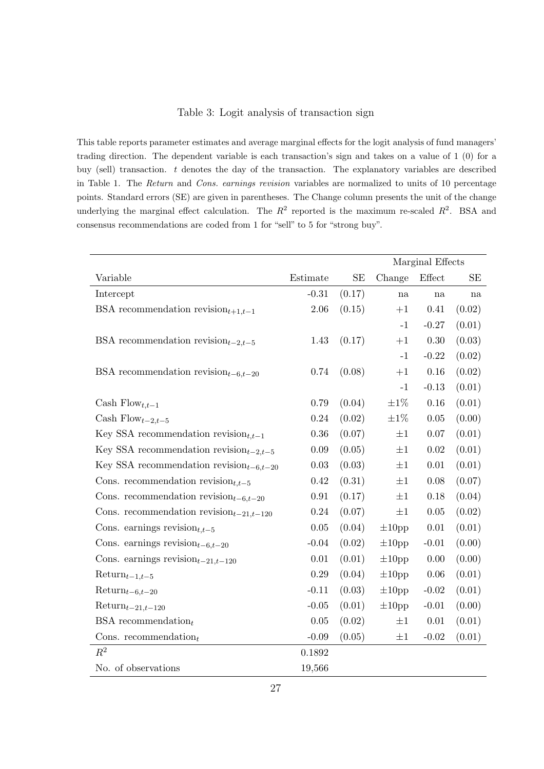#### Table 3: Logit analysis of transaction sign

This table reports parameter estimates and average marginal effects for the logit analysis of fund managers' trading direction. The dependent variable is each transaction's sign and takes on a value of 1 (0) for a buy (sell) transaction.  $t$  denotes the day of the transaction. The explanatory variables are described in Table 1. The Return and Cons. earnings revision variables are normalized to units of 10 percentage points. Standard errors (SE) are given in parentheses. The Change column presents the unit of the change underlying the marginal effect calculation. The  $R^2$  reported is the maximum re-scaled  $R^2$ . BSA and consensus recommendations are coded from 1 for "sell" to 5 for "strong buy".

|                                               |          |        | Marginal Effects |          |          |  |  |
|-----------------------------------------------|----------|--------|------------------|----------|----------|--|--|
| Variable                                      | Estimate | SE     | Change           | Effect   | $\rm SE$ |  |  |
| Intercept                                     | $-0.31$  | (0.17) | na               | na       | na       |  |  |
| BSA recommendation revision $t+1,t-1$         | 2.06     | (0.15) | $+1$             | 0.41     | (0.02)   |  |  |
|                                               |          |        | $-1$             | $-0.27$  | (0.01)   |  |  |
| BSA recommendation revision $_{t-2,t-5}$      | 1.43     | (0.17) | $+1$             | $0.30\,$ | (0.03)   |  |  |
|                                               |          |        | $-1$             | $-0.22$  | (0.02)   |  |  |
| BSA recommendation revision $_{t-6,t-20}$     | $0.74\,$ | (0.08) | $+1$             | 0.16     | (0.02)   |  |  |
|                                               |          |        | $-1$             | $-0.13$  | (0.01)   |  |  |
| Cash Flow <sub>t,t-1</sub>                    | 0.79     | (0.04) | $\pm 1\%$        | 0.16     | (0.01)   |  |  |
| Cash Flow <sub>t-2,t-5</sub>                  | 0.24     | (0.02) | $\pm 1\%$        | $0.05\,$ | (0.00)   |  |  |
| Key SSA recommendation revision $_{t,t-1}$    | 0.36     | (0.07) | $\pm 1$          | 0.07     | (0.01)   |  |  |
| Key SSA recommendation revision $_{t-2,t-5}$  | 0.09     | (0.05) | $\pm 1$          | 0.02     | (0.01)   |  |  |
| Key SSA recommendation revision $_{t-6,t-20}$ | $0.03\,$ | (0.03) | $\pm 1$          | $0.01\,$ | (0.01)   |  |  |
| Cons. recommendation revision $_{t,t-5}$      | 0.42     | (0.31) | $\pm 1$          | 0.08     | (0.07)   |  |  |
| Cons. recommendation revision $_{t-6,t-20}$   | 0.91     | (0.17) | $\pm 1$          | 0.18     | (0.04)   |  |  |
| Cons. recommendation revision $_{t-21,t-120}$ | 0.24     | (0.07) | $\pm 1$          | 0.05     | (0.02)   |  |  |
| Cons. earnings revision $_{t,t-5}$            | $0.05\,$ | (0.04) | $\pm 10$ pp      | 0.01     | (0.01)   |  |  |
| Cons. earnings revision $_{t-6,t-20}$         | $-0.04$  | (0.02) | $\pm 10$ pp      | $-0.01$  | (0.00)   |  |  |
| Cons. earnings revision $_{t-21,t-120}$       | $0.01\,$ | (0.01) | $\pm 10$ pp      | 0.00     | (0.00)   |  |  |
| $Return_{t-1,t-5}$                            | 0.29     | (0.04) | $\pm 10$ pp      | 0.06     | (0.01)   |  |  |
| $Return_{t-6,t-20}$                           | $-0.11$  | (0.03) | $\pm 10$ pp      | $-0.02$  | (0.01)   |  |  |
| $Return_{t-21,t-120}$                         | $-0.05$  | (0.01) | $\pm 10$ pp      | $-0.01$  | (0.00)   |  |  |
| BSA recommendation $_t$                       | 0.05     | (0.02) | $\pm 1$          | 0.01     | (0.01)   |  |  |
| Cons. recommendation $_t$                     | $-0.09$  | (0.05) | $\pm 1$          | $-0.02$  | (0.01)   |  |  |
| $R^2$                                         | 0.1892   |        |                  |          |          |  |  |
| No. of observations                           | 19,566   |        |                  |          |          |  |  |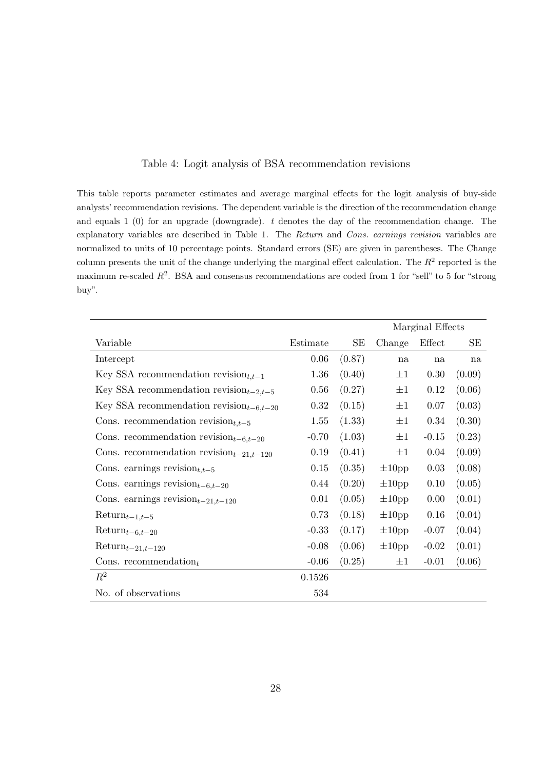|  |  |  |  |  |  |  |  | Table 4: Logit analysis of BSA recommendation revisions |
|--|--|--|--|--|--|--|--|---------------------------------------------------------|
|--|--|--|--|--|--|--|--|---------------------------------------------------------|

This table reports parameter estimates and average marginal effects for the logit analysis of buy-side analysts' recommendation revisions. The dependent variable is the direction of the recommendation change and equals  $1(0)$  for an upgrade (downgrade). t denotes the day of the recommendation change. The explanatory variables are described in Table 1. The Return and Cons. earnings revision variables are normalized to units of 10 percentage points. Standard errors (SE) are given in parentheses. The Change column presents the unit of the change underlying the marginal effect calculation. The  $R^2$  reported is the maximum re-scaled  $R^2$ . BSA and consensus recommendations are coded from 1 for "sell" to 5 for "strong buy".

|                                               |          |        | Marginal Effects   |         |        |  |  |  |
|-----------------------------------------------|----------|--------|--------------------|---------|--------|--|--|--|
| Variable                                      | Estimate | SЕ     | Change             | Effect  | SЕ     |  |  |  |
| Intercept                                     | 0.06     | (0.87) | na                 | na      | na     |  |  |  |
| Key SSA recommendation revision $_{t,t-1}$    | 1.36     | (0.40) | $\pm 1$            | 0.30    | (0.09) |  |  |  |
| Key SSA recommendation revision $_{t-2,t-5}$  | 0.56     | (0.27) | $\pm 1$            | 0.12    | (0.06) |  |  |  |
| Key SSA recommendation revision $_{t-6,t-20}$ | 0.32     | (0.15) | $\pm 1$            | 0.07    | (0.03) |  |  |  |
| Cons. recommendation revision $_{t,t-5}$      | 1.55     | (1.33) | $\pm 1$            | 0.34    | (0.30) |  |  |  |
| Cons. recommendation revision $_{t-6,t-20}$   | $-0.70$  | (1.03) | $\pm 1$            | $-0.15$ | (0.23) |  |  |  |
| Cons. recommendation revision $_{t-21,t-120}$ | 0.19     | (0.41) | $\pm 1$            | 0.04    | (0.09) |  |  |  |
| Cons. earnings revision $_{t,t-5}$            | 0.15     | (0.35) | $\pm 10$ pp        | 0.03    | (0.08) |  |  |  |
| Cons. earnings revision $_{t-6,t-20}$         | 0.44     | (0.20) | $\pm 10$ pp        | 0.10    | (0.05) |  |  |  |
| Cons. earnings revision $_{t-21,t-120}$       | 0.01     | (0.05) | $\pm 10$ pp        | 0.00    | (0.01) |  |  |  |
| $Return_{t-1,t-5}$                            | 0.73     | (0.18) | $\pm 10$ pp        | 0.16    | (0.04) |  |  |  |
| $Return_{t-6,t-20}$                           | $-0.33$  | (0.17) | $\pm 10 \text{pp}$ | $-0.07$ | (0.04) |  |  |  |
| $Return_{t-21,t-120}$                         | $-0.08$  | (0.06) | $\pm 10$ pp        | $-0.02$ | (0.01) |  |  |  |
| Cons. recommendation,                         | $-0.06$  | (0.25) | $\pm 1$            | $-0.01$ | (0.06) |  |  |  |
| $\,R^2$                                       | 0.1526   |        |                    |         |        |  |  |  |
| No. of observations                           | 534      |        |                    |         |        |  |  |  |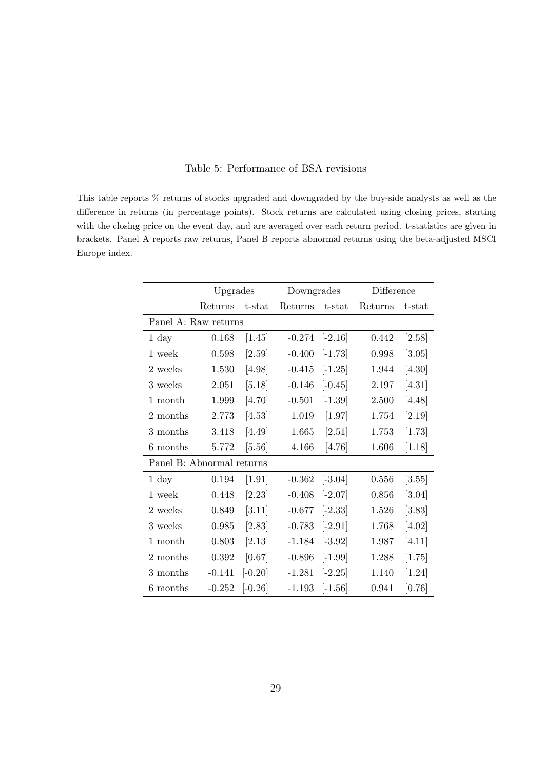### Table 5: Performance of BSA revisions

This table reports % returns of stocks upgraded and downgraded by the buy-side analysts as well as the difference in returns (in percentage points). Stock returns are calculated using closing prices, starting with the closing price on the event day, and are averaged over each return period. t-statistics are given in brackets. Panel A reports raw returns, Panel B reports abnormal returns using the beta-adjusted MSCI Europe index.

|                           | Upgrades |           | Downgrades |                    | Difference |          |  |
|---------------------------|----------|-----------|------------|--------------------|------------|----------|--|
|                           | Returns  | t-stat    | Returns    | t-stat             | Returns    | t-stat   |  |
| Panel A: Raw returns      |          |           |            |                    |            |          |  |
| $1 \mathrm{day}$          | 0.168    | [1.45]    |            | $-0.274$ $[-2.16]$ | 0.442      | [2.58]   |  |
| 1 week                    | 0.598    | [2.59]    | $-0.400$   | $[-1.73]$          | 0.998      | [3.05]   |  |
| 2 weeks                   | 1.530    | [4.98]    | $-0.415$   | $[-1.25]$          | 1.944      | [4.30]   |  |
| 3 weeks                   | 2.051    | $[5.18]$  | $-0.146$   | $[-0.45]$          | 2.197      | [4.31]   |  |
| 1 month                   | 1.999    | [4.70]    | $-0.501$   | $[-1.39]$          | 2.500      | [4.48]   |  |
| 2 months                  | 2.773    | [4.53]    | 1.019      | $[1.97]$           | 1.754      | [2.19]   |  |
| 3 months                  | 3.418    | [4.49]    | 1.665      | [2.51]             | 1.753      | [1.73]   |  |
| 6 months                  | 5.772    | $[5.56]$  | 4.166      | [4.76]             | 1.606      | [1.18]   |  |
| Panel B: Abnormal returns |          |           |            |                    |            |          |  |
| $1 \mathrm{day}$          | 0.194    | $[1.91]$  | $-0.362$   | $[-3.04]$          | 0.556      | [3.55]   |  |
| 1 week                    | 0.448    | [2.23]    | $-0.408$   | $[-2.07]$          | 0.856      | [3.04]   |  |
| 2 weeks                   | 0.849    | [3.11]    | $-0.677$   | $[-2.33]$          | 1.526      | $[3.83]$ |  |
| 3 weeks                   | 0.985    | [2.83]    | $-0.783$   | $[-2.91]$          | 1.768      | [4.02]   |  |
| 1 month                   | 0.803    | [2.13]    | $-1.184$   | $[-3.92]$          | 1.987      | [4.11]   |  |
| 2 months                  | 0.392    | [0.67]    | $-0.896$   | $[-1.99]$          | 1.288      | [1.75]   |  |
| 3 months                  | $-0.141$ | $[-0.20]$ | $-1.281$   | $[-2.25]$          | 1.140      | $[1.24]$ |  |
| 6 months                  | $-0.252$ | $[-0.26]$ | $-1.193$   | $[-1.56]$          | 0.941      | [0.76]   |  |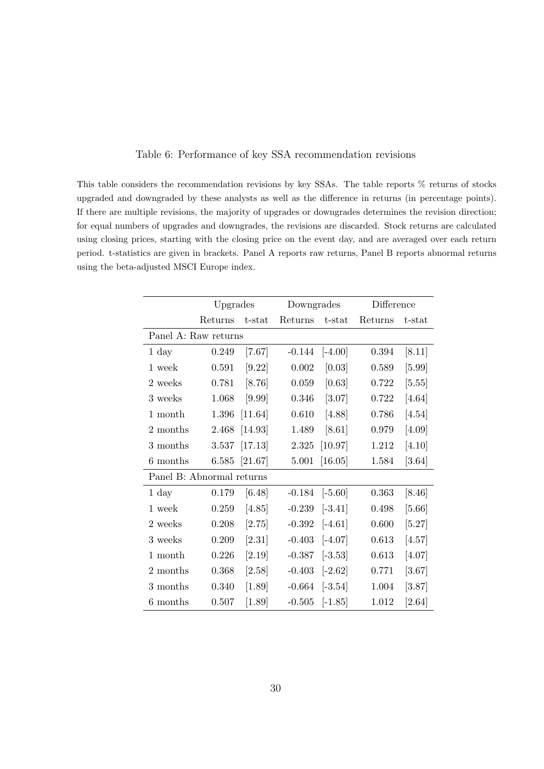| upgraded and downgraded by these analysts as well as the difference in returns (in percentage points).     |
|------------------------------------------------------------------------------------------------------------|
| If there are multiple revisions, the majority of upgrades or downgrades determines the revision direction; |
| for equal numbers of upgrades and downgrades, the revisions are discarded. Stock returns are calculated    |
| using closing prices, starting with the closing price on the event day, and are averaged over each return  |
| period. t-statistics are given in brackets. Panel A reports raw returns, Panel B reports abnormal returns  |
| using the beta-adjusted MSCI Europe index.                                                                 |
|                                                                                                            |
|                                                                                                            |

This table considers the recommendation revisions by key SSAs. The table reports % returns of stocks

|                           | Upgrades    |          | Downgrades |           | Difference |          |  |
|---------------------------|-------------|----------|------------|-----------|------------|----------|--|
|                           | Returns     | t-stat   | Returns    | t-stat    | Returns    | t-stat   |  |
| Panel A: Raw returns      |             |          |            |           |            |          |  |
| $1\;day$                  | 0.249       | $[7.67]$ | $-0.144$   | $[-4.00]$ | 0.394      | [8.11]   |  |
| 1 week                    | $\!0.591\!$ | [9.22]   | 0.002      | [0.03]    | 0.589      | $[5.99]$ |  |
| 2 weeks                   | 0.781       | [8.76]   | 0.059      | [0.63]    | 0.722      | $[5.55]$ |  |
| 3 weeks                   | 1.068       | [9.99]   | 0.346      | [3.07]    | 0.722      | [4.64]   |  |
| 1 month                   | 1.396       | [11.64]  | 0.610      | [4.88]    | 0.786      | [4.54]   |  |
| 2 months                  | 2.468       | [14.93]  | 1.489      | [8.61]    | 0.979      | [4.09]   |  |
| 3 months                  | 3.537       | [17.13]  | 2.325      | [10.97]   | 1.212      | [4.10]   |  |
| 6 months                  | 6.585       | [21.67]  | 5.001      | [16.05]   | 1.584      | [3.64]   |  |
| Panel B: Abnormal returns |             |          |            |           |            |          |  |
| $1 \mathrm{day}$          | 0.179       | [6.48]   | $-0.184$   | $[-5.60]$ | 0.363      | [8.46]   |  |
| 1 week                    | 0.259       | [4.85]   | $-0.239$   | $[-3.41]$ | 0.498      | $[5.66]$ |  |
| 2 weeks                   | 0.208       | [2.75]   | $-0.392$   | $[-4.61]$ | 0.600      | [5.27]   |  |
| 3 weeks                   | 0.209       | [2.31]   | $-0.403$   | $[-4.07]$ | 0.613      | [4.57]   |  |
| 1 month                   | 0.226       | [2.19]   | $-0.387$   | $[-3.53]$ | 0.613      | [4.07]   |  |
| 2 months                  | 0.368       | [2.58]   | $-0.403$   | $[-2.62]$ | 0.771      | $[3.67]$ |  |
| 3 months                  | 0.340       | $[1.89]$ | $-0.664$   | $[-3.54]$ | 1.004      | $[3.87]$ |  |
| 6 months                  | 0.507       | $[1.89]$ | $-0.505$   | $[-1.85]$ | 1.012      | [2.64]   |  |

Table 6: Performance of key SSA recommendation revisions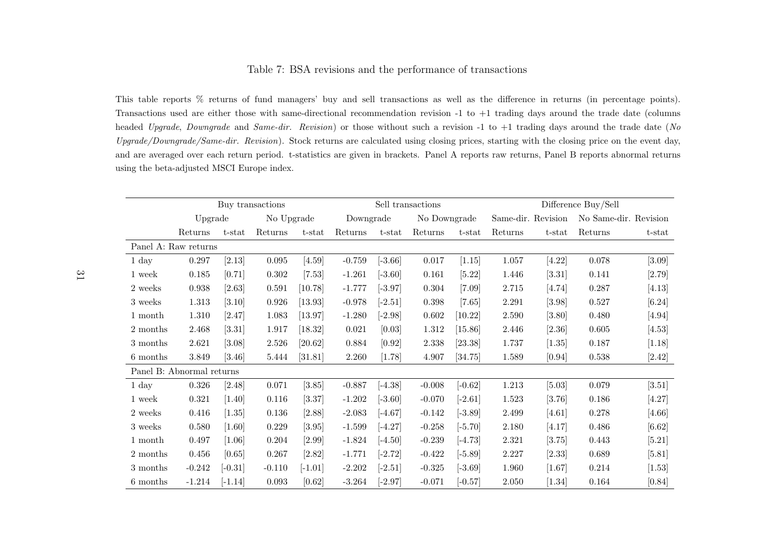#### Table 7: BSA revisions and the performance of transactions

This table reports % returns of fund managers' buy and sell transactions as well as the difference in returns (in percentage points). Transactions used are either those with same-directional recommendation revision -1 to +1 trading days around the trade date (columns headed *Upgrade*, *Downgrade* and *Same-dir.* Revision) or those without such a revision -1 to +1 trading days around the trade date (No Upgrade/Downgrade/Same-dir. Revision). Stock returns are calculated using closing prices, starting with the closing price on the event day, and are averaged over each return period. t-statistics are <sup>g</sup>iven in brackets. Panel <sup>A</sup> reports raw returns, Panel <sup>B</sup> reports abnormal returns using the beta-adjusted MSCI Europe index.

|                   |                           |           | Buy transactions |           | Sell transactions |           |              |           | Difference Buy/Sell |           |                       |           |
|-------------------|---------------------------|-----------|------------------|-----------|-------------------|-----------|--------------|-----------|---------------------|-----------|-----------------------|-----------|
|                   | Upgrade                   |           | No Upgrade       |           | Downgrade         |           | No Downgrade |           | Same-dir. Revision  |           | No Same-dir. Revision |           |
|                   | Returns                   | t-stat    | Returns          | $t$ -stat | Returns           | t-stat    | Returns      | $t$ -stat | Returns             | $t$ -stat | Returns               | $t$ -stat |
|                   | Panel A: Raw returns      |           |                  |           |                   |           |              |           |                     |           |                       |           |
| $1 \mathrm{day}$  | 0.297                     | [2.13]    | $\,0.095\,$      | $[4.59]$  | $-0.759$          | $[-3.66]$ | 0.017        | [1.15]    | $1.057\,$           | [4.22]    | 0.078                 | [3.09]    |
| 1 week            | $0.185\,$                 | [0.71]    | $0.302\,$        | $[7.53]$  | $-1.261$          | $[-3.60]$ | 0.161        | [5.22]    | 1.446               | $[3.31]$  | 0.141                 | [2.79]    |
| 2 weeks           | 0.938                     | [2.63]    | 0.591            | [10.78]   | $-1.777$          | $[-3.97]$ | 0.304        | $[7.09]$  | 2.715               | [4.74]    | 0.287                 | [4.13]    |
| 3 weeks           | 1.313                     | $[3.10]$  | 0.926            | [13.93]   | $-0.978$          | $[-2.51]$ | 0.398        | $[7.65]$  | 2.291               | $[3.98]$  | 0.527                 | $[6.24]$  |
| 1 month           | 1.310                     | [2.47]    | 1.083            | [13.97]   | $-1.280$          | $[-2.98]$ | $0.602\,$    | $[10.22]$ | 2.590               | [3.80]    | 0.480                 | $[4.94]$  |
| 2 months          | 2.468                     | [3.31]    | 1.917            | [18.32]   | 0.021             | [0.03]    | 1.312        | [15.86]   | 2.446               | [2.36]    | 0.605                 | $[4.53]$  |
| 3 months          | 2.621                     | [3.08]    | 2.526            | [20.62]   | 0.884             | [0.92]    | 2.338        | [23.38]   | 1.737               | [1.35]    | 0.187                 | [1.18]    |
| 6 months          | 3.849                     | [3.46]    | 5.444            | [31.81]   | 2.260             | [1.78]    | 4.907        | $[34.75]$ | 1.589               | [0.94]    | 0.538                 | [2.42]    |
|                   | Panel B: Abnormal returns |           |                  |           |                   |           |              |           |                     |           |                       |           |
| $1\ \mathrm{day}$ | 0.326                     | [2.48]    | 0.071            | [3.85]    | $-0.887$          | $[-4.38]$ | $-0.008$     | $[-0.62]$ | 1.213               | $[5.03]$  | 0.079                 | $[3.51]$  |
| 1 week            | 0.321                     | $[1.40]$  | 0.116            | [3.37]    | $-1.202$          | $[-3.60]$ | $-0.070$     | $-2.61$   | 1.523               | [3.76]    | 0.186                 | [4.27]    |
| 2 weeks           | 0.416                     | $[1.35]$  | $0.136\,$        | [2.88]    | $-2.083$          | $[-4.67]$ | $-0.142$     | $[-3.89]$ | 2.499               | [4.61]    | 0.278                 | [4.66]    |
| 3 weeks           | 0.580                     | $[1.60]$  | 0.229            | $[3.95]$  | $-1.599$          | $[-4.27]$ | $-0.258$     | $[-5.70]$ | 2.180               | [4.17]    | 0.486                 | $[6.62]$  |
| 1 month           | 0.497                     | $[1.06]$  | 0.204            | $[2.99]$  | $-1.824$          | $[-4.50]$ | $-0.239$     | $[-4.73]$ | 2.321               | [3.75]    | 0.443                 | $[5.21]$  |
| 2 months          | $0.456\,$                 | [0.65]    | 0.267            | [2.82]    | $-1.771$          | $[-2.72]$ | $-0.422$     | $[-5.89]$ | 2.227               | [2.33]    | 0.689                 | $[5.81]$  |
| 3 months          | $-0.242$                  | $[-0.31]$ | $-0.110$         | $[-1.01]$ | $-2.202$          | $[-2.51]$ | $-0.325$     | $[-3.69]$ | 1.960               | $[1.67]$  | 0.214                 | [1.53]    |
| 6 months          | $-1.214$                  | $[-1.14]$ | 0.093            | [0.62]    | $-3.264$          | $[-2.97]$ | $-0.071$     | $[-0.57]$ | 2.050               | $[1.34]$  | 0.164                 | [0.84]    |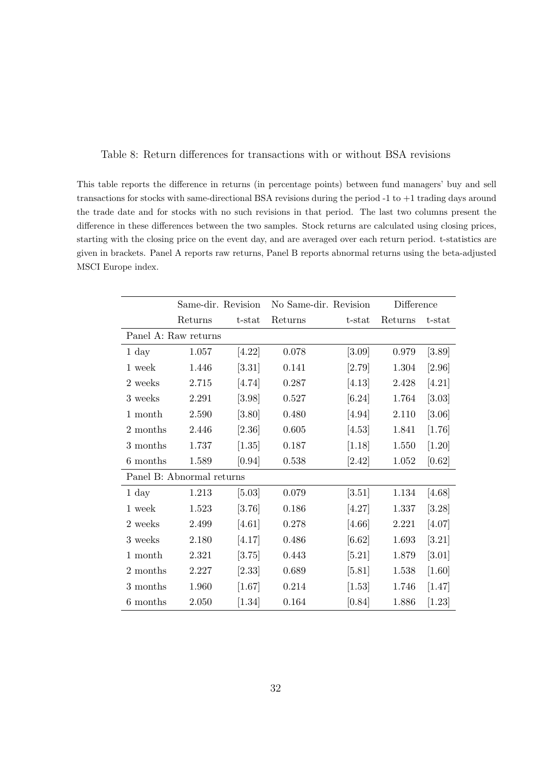| Table 8: Return differences for transactions with or without BSA revisions |  |
|----------------------------------------------------------------------------|--|
|----------------------------------------------------------------------------|--|

This table reports the difference in returns (in percentage points) between fund managers' buy and sell transactions for stocks with same-directional BSA revisions during the period -1 to +1 trading days around the trade date and for stocks with no such revisions in that period. The last two columns present the difference in these differences between the two samples. Stock returns are calculated using closing prices, starting with the closing price on the event day, and are averaged over each return period. t-statistics are given in brackets. Panel A reports raw returns, Panel B reports abnormal returns using the beta-adjusted MSCI Europe index.

|          | Same-dir. Revision        |          | No Same-dir. Revision |           | Difference |          |
|----------|---------------------------|----------|-----------------------|-----------|------------|----------|
|          | Returns                   | t-stat   | Returns               | $t$ -stat | Returns    | t-stat   |
|          | Panel A: Raw returns      |          |                       |           |            |          |
| 1 day    | 1.057                     | [4.22]   | 0.078                 | [3.09]    | 0.979      | $[3.89]$ |
| 1 week   | 1.446                     | $[3.31]$ | 0.141                 | [2.79]    | 1.304      | [2.96]   |
| 2 weeks  | 2.715                     | [4.74]   | 0.287                 | [4.13]    | 2.428      | [4.21]   |
| 3 weeks  | 2.291                     | $[3.98]$ | 0.527                 | [6.24]    | 1.764      | $[3.03]$ |
| 1 month  | 2.590                     | $[3.80]$ | 0.480                 | [4.94]    | 2.110      | $[3.06]$ |
| 2 months | 2.446                     | $[2.36]$ | 0.605                 | [4.53]    | 1.841      | $[1.76]$ |
| 3 months | 1.737                     | $[1.35]$ | 0.187                 | [1.18]    | 1.550      | $[1.20]$ |
| 6 months | 1.589                     | [0.94]   | 0.538                 | [2.42]    | 1.052      | [0.62]   |
|          | Panel B: Abnormal returns |          |                       |           |            |          |
| 1 day    | 1.213                     | [5.03]   | 0.079                 | [3.51]    | 1.134      | [4.68]   |
| 1 week   | 1.523                     | [3.76]   | 0.186                 | [4.27]    | 1.337      | [3.28]   |
| 2 weeks  | 2.499                     | [4.61]   | 0.278                 | [4.66]    | 2.221      | [4.07]   |
| 3 weeks  | 2.180                     | [4.17]   | 0.486                 | $[6.62]$  | 1.693      | $[3.21]$ |
| 1 month  | 2.321                     | $[3.75]$ | 0.443                 | $[5.21]$  | 1.879      | $[3.01]$ |
| 2 months | 2.227                     | $[2.33]$ | 0.689                 | $[5.81]$  | 1.538      | $[1.60]$ |
| 3 months | 1.960                     | [1.67]   | 0.214                 | $[1.53]$  | 1.746      | $[1.47]$ |
| 6 months | 2.050                     | $[1.34]$ | 0.164                 | [0.84]    | 1.886      | $[1.23]$ |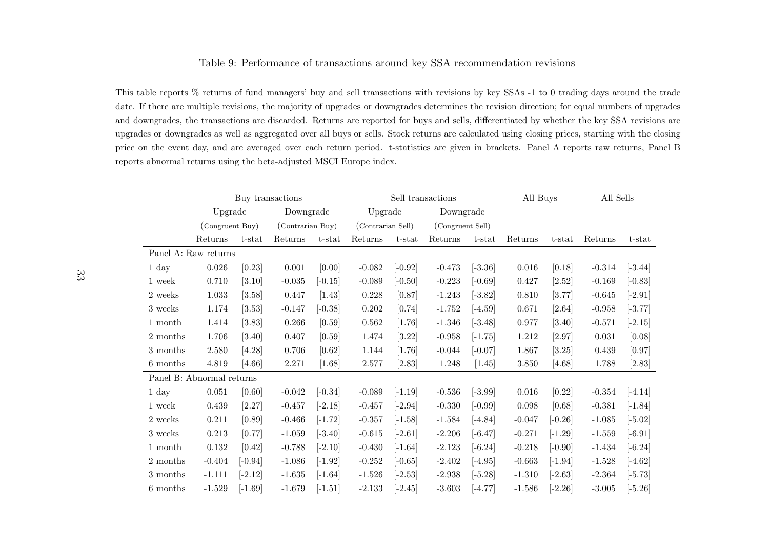### Table 9: Performance of transactions around key SSA recommendation revisions

This table reports % returns of fund managers' buy and sell transactions with revisions by key SSAs -1 to <sup>0</sup> trading days around the trade date. If there are multiple revisions, the majority of upgrades or downgrades determines the revision direction; for equa<sup>l</sup> numbers of upgrades and downgrades, the transactions are discarded. Returns are reported for buys and sells, differentiated by whether the key SSA revisions are upgrades or downgrades as well as aggregated over all buys or sells. Stock returns are calculated using closing prices, starting with the closing price on the event day, and are averaged over each return period. t-statistics are <sup>g</sup>iven in brackets. Panel <sup>A</sup> reports raw returns, Panel <sup>B</sup>reports abnormal returns using the beta-adjusted MSCI Europe index.

|                           | Buy transactions |           |                  |           |                   |                      | Sell transactions |           | All Buys  |           | All Sells         |           |
|---------------------------|------------------|-----------|------------------|-----------|-------------------|----------------------|-------------------|-----------|-----------|-----------|-------------------|-----------|
|                           | Upgrade          |           | Downgrade        |           |                   | Upgrade<br>Downgrade |                   |           |           |           |                   |           |
|                           | (Congruent Buy)  |           | (Contrarian Buy) |           | (Contrarian Sell) |                      | (Congruent Sell)  |           |           |           |                   |           |
|                           | Returns          | t-stat    | Returns          | t-stat    | Returns           | t-stat               | Returns           | t-stat    | Returns   | t-stat    | Returns           | t-stat    |
| Panel A: Raw returns      |                  |           |                  |           |                   |                      |                   |           |           |           |                   |           |
| $1\;day$                  | $0.026\,$        | $[0.23]$  | 0.001            | [0.00]    | $-0.082$          | $[-0.92]$            | $-0.473$          | $[-3.36]$ | $0.016\,$ | [0.18]    | $-0.314$          | $[-3.44]$ |
| 1 week                    | 0.710            | [3.10]    | $-0.035$         | $[-0.15]$ | $-0.089$          | $[-0.50]$            | $-0.223$          | $[-0.69]$ | 0.427     | [2.52]    | $-0.169$          | $[-0.83]$ |
| 2 weeks                   | 1.033            | $[3.58]$  | 0.447            | $[1.43]$  | 0.228             | [0.87]               | $-1.243$          | $[-3.82]$ | 0.810     | [3.77]    | $-0.645$          | $[-2.91]$ |
| 3 weeks                   | 1.174            | [3.53]    | $-0.147$         | $[-0.38]$ | 0.202             | [0.74]               | $-1.752$          | $[-4.59]$ | 0.671     | $[2.64]$  | $-0.958$          | $[-3.77]$ |
| 1 month                   | 1.414            | $[3.83]$  | 0.266            | [0.59]    | 0.562             | $[1.76]$             | $-1.346$          | $[-3.48]$ | 0.977     | [3.40]    | $-0.571$          | $[-2.15]$ |
| 2 months                  | 1.706            | [3.40]    | 0.407            | [0.59]    | 1.474             | $[3.22]$             | $-0.958$          | $[-1.75]$ | $1.212\,$ | [2.97]    | 0.031             | [0.08]    |
| 3 months                  | 2.580            | [4.28]    | 0.706            | [0.62]    | 1.144             | $[1.76]$             | $-0.044$          | $[-0.07]$ | 1.867     | [3.25]    | 0.439             | [0.97]    |
| 6 months                  | 4.819            | [4.66]    | 2.271            | [1.68]    | 2.577             | [2.83]               | 1.248             | [1.45]    | 3.850     | [4.68]    | 1.788             | $[2.83]$  |
| Panel B: Abnormal returns |                  |           |                  |           |                   |                      |                   |           |           |           |                   |           |
| $1\;day$                  | 0.051            | [0.60]    | $-0.042$         | $[-0.34]$ | $-0.089$          | $[-1.19]$            | $-0.536$          | $[-3.99]$ | $0.016\,$ | [0.22]    | $-0.354$          | $[-4.14]$ |
| 1 week                    | 0.439            | [2.27]    | $-0.457$         | $[-2.18]$ | $-0.457$          | $[-2.94]$            | $-0.330$          | $[-0.99]$ | 0.098     | [0.68]    | $-0.381$          | $[-1.84]$ |
| 2 weeks                   | 0.211            | [0.89]    | $-0.466$         | $[-1.72]$ | $-0.357$          | $[-1.58]$            | $-1.584$          | $[-4.84]$ | $-0.047$  | $[-0.26]$ | $-1.085$          | $[-5.02]$ |
| 3 weeks                   | 0.213            | [0.77]    | $-1.059$         | $[-3.40]$ | $-0.615$          | $[-2.61]$            | $-2.206$          | $[-6.47]$ | $-0.271$  | $[-1.29]$ | $-1.559$          | $[-6.91]$ |
| 1 month                   | 0.132            | [0.42]    | $-0.788$         | $[-2.10]$ | $-0.430$          | $[-1.64]$            | $-2.123$          | $[-6.24]$ | $-0.218$  | $[-0.90]$ | $\textbf{-1.434}$ | $[-6.24]$ |
| 2 months                  | $-0.404$         | $[-0.94]$ | $-1.086$         | $[-1.92]$ | $-0.252$          | $[-0.65]$            | $-2.402$          | $[-4.95]$ | $-0.663$  | $[-1.94]$ | $-1.528$          | $[-4.62]$ |
| 3 months                  | $-1.111$         | $[-2.12]$ | $-1.635$         | $[-1.64]$ | $-1.526$          | $[-2.53]$            | $-2.938$          | $[-5.28]$ | $-1.310$  | $[-2.63]$ | $-2.364$          | $[-5.73]$ |
| 6 months                  | $-1.529$         | $[-1.69]$ | $-1.679$         | $[-1.51]$ | $-2.133$          | $[-2.45]$            | $-3.603$          | $[-4.77]$ | $-1.586$  | $[-2.26]$ | $-3.005$          | $[-5.26]$ |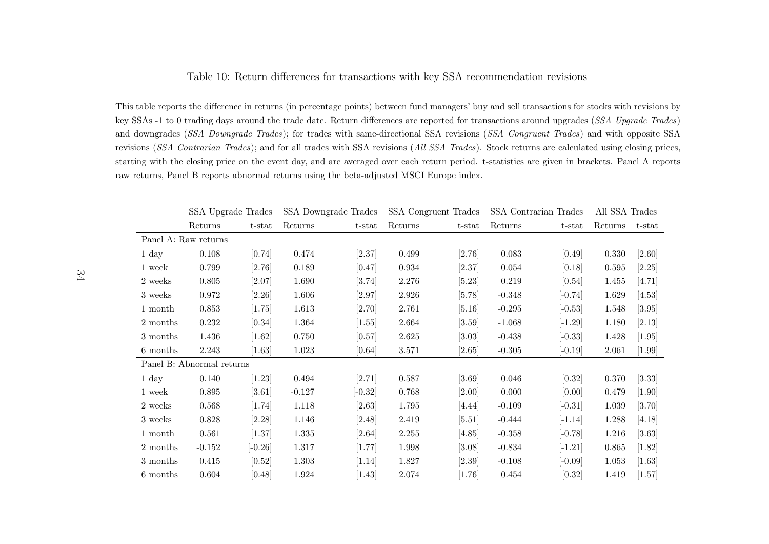#### Table 10: Return differences for transactions with key SSA recommendation revisions

This table reports the difference in returns (in percentage points) between fund managers' buy and sell transactions for stocks with revisions bykey SSAs -1 to 0 trading days around the trade date. Return differences are reported for transactions around upgrades (SSA Upgrade Trades) and downgrades (SSA Downgrade Trades); for trades with same-directional SSA revisions (SSA Congruent Trades) and with opposite SSA revisions (SSA Contrarian Trades); and for all trades with SSA revisions (All SSA Trades). Stock returns are calculated using closing prices, starting with the closing price on the event day, and are averaged over each return period. t-statistics are <sup>g</sup>iven in brackets. Panel <sup>A</sup> reports raw returns, Panel <sup>B</sup> reports abnormal returns using the beta-adjusted MSCI Europe index.

|                           | SSA Upgrade Trades |           | SSA Downgrade Trades |           | SSA Congruent Trades |           | SSA Contrarian Trades |           | All SSA Trades |           |  |  |
|---------------------------|--------------------|-----------|----------------------|-----------|----------------------|-----------|-----------------------|-----------|----------------|-----------|--|--|
|                           | Returns            | t-stat    | Returns              | $t$ -stat | Returns              | $t$ -stat | Returns               | t-stat    | Returns        | $t$ -stat |  |  |
| Panel A: Raw returns      |                    |           |                      |           |                      |           |                       |           |                |           |  |  |
| $1 \mathrm{day}$          | 0.108              | [0.74]    | 0.474                | [2.37]    | 0.499                | [2.76]    | 0.083                 | [0.49]    | $0.330\,$      | [2.60]    |  |  |
| 1 week                    | 0.799              | [2.76]    | 0.189                | [0.47]    | 0.934                | [2.37]    | 0.054                 | [0.18]    | 0.595          | [2.25]    |  |  |
| 2 weeks                   | 0.805              | [2.07]    | 1.690                | [3.74]    | 2.276                | $[5.23]$  | 0.219                 | [0.54]    | 1.455          | [4.71]    |  |  |
| 3 weeks                   | 0.972              | [2.26]    | 1.606                | [2.97]    | 2.926                | [5.78]    | $-0.348$              | $[-0.74]$ | 1.629          | [4.53]    |  |  |
| 1 month                   | 0.853              | [1.75]    | 1.613                | [2.70]    | 2.761                | $[5.16]$  | $-0.295$              | $[-0.53]$ | 1.548          | [3.95]    |  |  |
| 2 months                  | 0.232              | [0.34]    | 1.364                | [1.55]    | 2.664                | $[3.59]$  | $-1.068$              | $[-1.29]$ | 1.180          | [2.13]    |  |  |
| 3 months                  | 1.436              | [1.62]    | 0.750                | [0.57]    | 2.625                | [3.03]    | $-0.438$              | $[-0.33]$ | 1.428          | [1.95]    |  |  |
| 6 months                  | 2.243              | [1.63]    | 1.023                | [0.64]    | 3.571                | [2.65]    | $-0.305$              | $[-0.19]$ | 2.061          | [1.99]    |  |  |
| Panel B: Abnormal returns |                    |           |                      |           |                      |           |                       |           |                |           |  |  |
| $1 \mathrm{day}$          | 0.140              | [1.23]    | 0.494                | [2.71]    | 0.587                | $[3.69]$  | 0.046                 | [0.32]    | 0.370          | $[3.33]$  |  |  |
| 1 week                    | 0.895              | [3.61]    | $-0.127$             | $[-0.32]$ | 0.768                | [2.00]    | 0.000                 | [0.00]    | 0.479          | [1.90]    |  |  |
| 2 weeks                   | 0.568              | [1.74]    | 1.118                | [2.63]    | 1.795                | [4.44]    | $-0.109$              | $[-0.31]$ | 1.039          | [3.70]    |  |  |
| 3 weeks                   | 0.828              | [2.28]    | 1.146                | [2.48]    | 2.419                | $[5.51]$  | $-0.444$              | $[-1.14]$ | 1.288          | [4.18]    |  |  |
| 1 month                   | 0.561              | [1.37]    | 1.335                | [2.64]    | 2.255                | [4.85]    | $-0.358$              | $[-0.78]$ | 1.216          | [3.63]    |  |  |
| 2 months                  | $-0.152$           | $[-0.26]$ | 1.317                | [1.77]    | 1.998                | [3.08]    | $-0.834$              | $[-1.21]$ | 0.865          | $[1.82]$  |  |  |
| 3 months                  | 0.415              | [0.52]    | 1.303                | [1.14]    | 1.827                | [2.39]    | $-0.108$              | $[-0.09]$ | 1.053          | [1.63]    |  |  |
| 6 months                  | 0.604              | [0.48]    | 1.924                | [1.43]    | 2.074                | $[1.76]$  | 0.454                 | [0.32]    | 1.419          | [1.57]    |  |  |